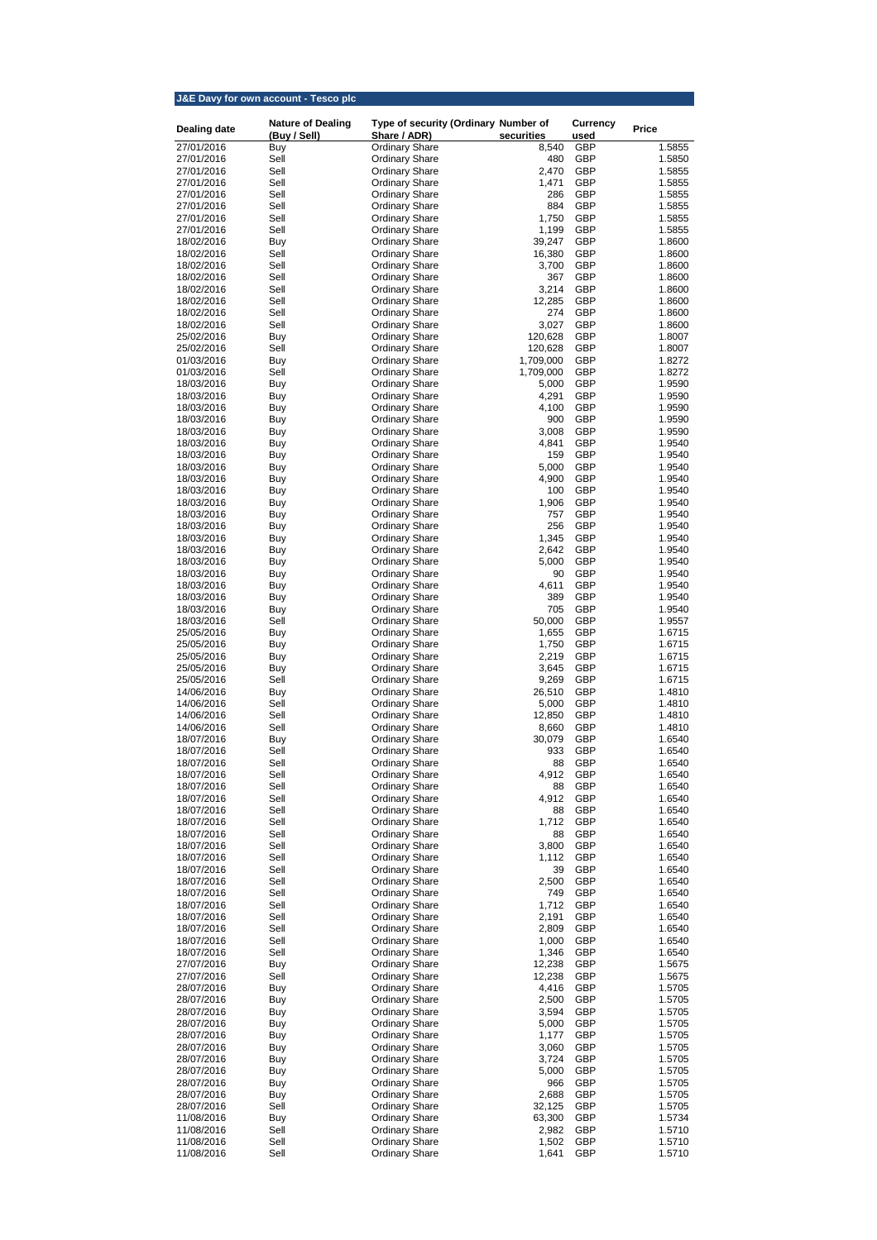|                          | J&E Davy for own account - Tesco plc |                                                |                    |                          |                  |
|--------------------------|--------------------------------------|------------------------------------------------|--------------------|--------------------------|------------------|
|                          | <b>Nature of Dealing</b>             | Type of security (Ordinary Number of           |                    | <b>Currency</b>          |                  |
| <b>Dealing date</b>      | (Buy / Sell)                         | Share / ADR)                                   | securities         | used                     | <b>Price</b>     |
| 27/01/2016               | Buy                                  | <b>Ordinary Share</b>                          | 8,540              | <b>GBP</b>               | 1.5855           |
| 27/01/2016               | Sell                                 | <b>Ordinary Share</b>                          | 480                | <b>GBP</b>               | 1.5850           |
| 27/01/2016<br>27/01/2016 | Sell<br>Sell                         | <b>Ordinary Share</b><br><b>Ordinary Share</b> | 2,470<br>1,471     | <b>GBP</b><br><b>GBP</b> | 1.5855<br>1.5855 |
| 27/01/2016               | Sell                                 | <b>Ordinary Share</b>                          | 286                | <b>GBP</b>               | 1.5855           |
| 27/01/2016               | Sell                                 | <b>Ordinary Share</b>                          | 884                | <b>GBP</b>               | 1.5855           |
| 27/01/2016               | Sell                                 | <b>Ordinary Share</b>                          | 1,750              | <b>GBP</b>               | 1.5855           |
| 27/01/2016               | Sell                                 | <b>Ordinary Share</b>                          | 1,199              | <b>GBP</b>               | 1.5855           |
| 18/02/2016               | Buy                                  | <b>Ordinary Share</b>                          | 39,247             | <b>GBP</b>               | 1.8600           |
| 18/02/2016               | Sell                                 | <b>Ordinary Share</b>                          | 16,380             | <b>GBP</b>               | 1.8600           |
| 18/02/2016<br>18/02/2016 | Sell<br>Sell                         | <b>Ordinary Share</b><br><b>Ordinary Share</b> | 3,700<br>367       | <b>GBP</b><br><b>GBP</b> | 1.8600<br>1.8600 |
| 18/02/2016               | Sell                                 | <b>Ordinary Share</b>                          | 3,214              | <b>GBP</b>               | 1.8600           |
| 18/02/2016               | Sell                                 | <b>Ordinary Share</b>                          | 12,285             | <b>GBP</b>               | 1.8600           |
| 18/02/2016               | Sell                                 | <b>Ordinary Share</b>                          | 274                | <b>GBP</b>               | 1.8600           |
| 18/02/2016               | Sell                                 | <b>Ordinary Share</b>                          | 3,027              | <b>GBP</b>               | 1.8600           |
| 25/02/2016               | Buy                                  | <b>Ordinary Share</b>                          | 120,628            | <b>GBP</b>               | 1.8007           |
| 25/02/2016               | Sell                                 | <b>Ordinary Share</b>                          | 120,628            | <b>GBP</b>               | 1.8007           |
| 01/03/2016<br>01/03/2016 | Buy<br>Sell                          | <b>Ordinary Share</b>                          | 1,709,000          | <b>GBP</b><br><b>GBP</b> | 1.8272<br>1.8272 |
| 18/03/2016               | Buy                                  | <b>Ordinary Share</b><br><b>Ordinary Share</b> | 1,709,000<br>5,000 | <b>GBP</b>               | 1.9590           |
| 18/03/2016               | Buy                                  | <b>Ordinary Share</b>                          | 4,291              | <b>GBP</b>               | 1.9590           |
| 18/03/2016               | Buy                                  | <b>Ordinary Share</b>                          | 4,100              | <b>GBP</b>               | 1.9590           |
| 18/03/2016               | Buy                                  | <b>Ordinary Share</b>                          | 900                | <b>GBP</b>               | 1.9590           |
| 18/03/2016               | Buy                                  | <b>Ordinary Share</b>                          | 3,008              | <b>GBP</b>               | 1.9590           |
| 18/03/2016               | Buy                                  | <b>Ordinary Share</b>                          | 4,841              | <b>GBP</b>               | 1.9540           |
| 18/03/2016               | Buy                                  | <b>Ordinary Share</b>                          | 159                | <b>GBP</b>               | 1.9540           |
| 18/03/2016               | Buy                                  | <b>Ordinary Share</b>                          | 5,000              | <b>GBP</b>               | 1.9540           |
| 18/03/2016               | Buy                                  | <b>Ordinary Share</b>                          | 4,900              | <b>GBP</b>               | 1.9540           |
| 18/03/2016<br>18/03/2016 | Buy                                  | <b>Ordinary Share</b><br><b>Ordinary Share</b> | 100<br>1,906       | <b>GBP</b><br><b>GBP</b> | 1.9540           |
| 18/03/2016               | Buy<br>Buy                           | <b>Ordinary Share</b>                          | 757                | <b>GBP</b>               | 1.9540<br>1.9540 |
| 18/03/2016               | Buy                                  | <b>Ordinary Share</b>                          | 256                | <b>GBP</b>               | 1.9540           |
| 18/03/2016               | <b>Buy</b>                           | <b>Ordinary Share</b>                          | 1,345              | <b>GBP</b>               | 1.9540           |
| 18/03/2016               | Buy                                  | <b>Ordinary Share</b>                          | 2,642              | <b>GBP</b>               | 1.9540           |
| 18/03/2016               | <b>Buy</b>                           | <b>Ordinary Share</b>                          | 5,000              | <b>GBP</b>               | 1.9540           |
| 18/03/2016               | Buy                                  | <b>Ordinary Share</b>                          | 90                 | <b>GBP</b>               | 1.9540           |
| 18/03/2016               | Buy                                  | <b>Ordinary Share</b>                          | 4,611              | <b>GBP</b>               | 1.9540           |
| 18/03/2016               | Buy                                  | <b>Ordinary Share</b>                          | 389                | <b>GBP</b>               | 1.9540           |
| 18/03/2016               | Buy<br>Sell                          | <b>Ordinary Share</b>                          | 705                | <b>GBP</b><br><b>GBP</b> | 1.9540           |
| 18/03/2016<br>25/05/2016 | <b>Buy</b>                           | <b>Ordinary Share</b><br><b>Ordinary Share</b> | 50,000<br>1,655    | <b>GBP</b>               | 1.9557<br>1.6715 |
| 25/05/2016               | Buy                                  | <b>Ordinary Share</b>                          | 1,750              | <b>GBP</b>               | 1.6715           |
| 25/05/2016               | <b>Buy</b>                           | <b>Ordinary Share</b>                          | 2,219              | <b>GBP</b>               | 1.6715           |
| 25/05/2016               | Buy                                  | <b>Ordinary Share</b>                          | 3,645              | <b>GBP</b>               | 1.6715           |
| 25/05/2016               | Sell                                 | <b>Ordinary Share</b>                          | 9,269              | <b>GBP</b>               | 1.6715           |
| 14/06/2016               | <b>Buy</b>                           | <b>Ordinary Share</b>                          | 26,510             | <b>GBP</b>               | 1.4810           |
| 14/06/2016               | Sell                                 | <b>Ordinary Share</b>                          | 5,000              | <b>GBP</b>               | 1.4810           |
| 14/06/2016               | Sell                                 | <b>Ordinary Share</b>                          | 12,850             | <b>GBP</b>               | 1.4810           |
| 14/06/2016<br>18/07/2016 | Sell                                 | <b>Ordinary Share</b>                          | 8,660<br>30,079    | <b>GBP</b><br><b>GBP</b> | 1.4810<br>1.6540 |
| 18/07/2016               | Buy<br>Sell                          | <b>Ordinary Share</b><br><b>Ordinary Share</b> | 933                | <b>GBP</b>               | 1.6540           |
| 18/07/2016               | Sell                                 | <b>Ordinary Share</b>                          | 88                 | <b>GBP</b>               | 1.6540           |
| 18/07/2016               | Sell                                 | <b>Ordinary Share</b>                          | 4,912              | <b>GBP</b>               | 1.6540           |
| 18/07/2016               | Sell                                 | <b>Ordinary Share</b>                          | 88                 | <b>GBP</b>               | 1.6540           |
| 18/07/2016               | Sell                                 | <b>Ordinary Share</b>                          | 4,912              | <b>GBP</b>               | 1.6540           |
| 18/07/2016               | Sell                                 | <b>Ordinary Share</b>                          | 88                 | <b>GBP</b>               | 1.6540           |
| 18/07/2016               | Sell                                 | <b>Ordinary Share</b>                          | 1,712              | <b>GBP</b>               | 1.6540           |
| 18/07/2016               | Sell                                 | <b>Ordinary Share</b>                          | 88                 | <b>GBP</b>               | 1.6540           |
| 18/07/2016<br>18/07/2016 | Sell<br>Sell                         | <b>Ordinary Share</b><br><b>Ordinary Share</b> | 3,800<br>1,112     | <b>GBP</b><br><b>GBP</b> | 1.6540<br>1.6540 |
| 18/07/2016               | Sell                                 | <b>Ordinary Share</b>                          | 39                 | <b>GBP</b>               | 1.6540           |
| 18/07/2016               | Sell                                 | <b>Ordinary Share</b>                          | 2,500              | <b>GBP</b>               | 1.6540           |
| 18/07/2016               | Sell                                 | <b>Ordinary Share</b>                          | 749                | <b>GBP</b>               | 1.6540           |
| 18/07/2016               | Sell                                 | <b>Ordinary Share</b>                          | 1,712              | <b>GBP</b>               | 1.6540           |
| 18/07/2016               | Sell                                 | <b>Ordinary Share</b>                          | 2,191              | <b>GBP</b>               | 1.6540           |
| 18/07/2016               | Sell                                 | <b>Ordinary Share</b>                          | 2,809              | <b>GBP</b>               | 1.6540           |
| 18/07/2016               | Sell                                 | <b>Ordinary Share</b>                          | 1,000              | <b>GBP</b>               | 1.6540           |
| 18/07/2016               | Sell                                 | <b>Ordinary Share</b>                          | 1,346              | <b>GBP</b>               | 1.6540           |
| 27/07/2016<br>27/07/2016 | <b>Buy</b><br>Sell                   | <b>Ordinary Share</b><br><b>Ordinary Share</b> | 12,238<br>12,238   | <b>GBP</b><br><b>GBP</b> | 1.5675<br>1.5675 |
| 28/07/2016               | <b>Buy</b>                           | <b>Ordinary Share</b>                          | 4,416              | <b>GBP</b>               | 1.5705           |
| 28/07/2016               | Buy                                  | <b>Ordinary Share</b>                          | 2,500              | <b>GBP</b>               | 1.5705           |
| 28/07/2016               | Buy                                  | <b>Ordinary Share</b>                          | 3,594              | <b>GBP</b>               | 1.5705           |
| 28/07/2016               | Buy                                  | <b>Ordinary Share</b>                          | 5,000              | <b>GBP</b>               | 1.5705           |
| 28/07/2016               | Buy                                  | <b>Ordinary Share</b>                          | 1,177              | <b>GBP</b>               | 1.5705           |
| 28/07/2016               | Buy                                  | <b>Ordinary Share</b>                          | 3,060              | <b>GBP</b>               | 1.5705           |
| 28/07/2016               | Buy                                  | <b>Ordinary Share</b>                          | 3,724              | <b>GBP</b>               | 1.5705           |
| 28/07/2016<br>28/07/2016 | Buy                                  | <b>Ordinary Share</b><br><b>Ordinary Share</b> | 5,000<br>966       | <b>GBP</b><br><b>GBP</b> | 1.5705           |
| 28/07/2016               | Buy<br>Buy                           | <b>Ordinary Share</b>                          | 2,688              | <b>GBP</b>               | 1.5705<br>1.5705 |
| 28/07/2016               | Sell                                 | <b>Ordinary Share</b>                          | 32,125             | GBP                      | 1.5705           |
| 11/08/2016               | Buy                                  | <b>Ordinary Share</b>                          | 63,300             | GBP                      | 1.5734           |
| 11/08/2016               | Sell                                 | <b>Ordinary Share</b>                          | 2,982              | GBP                      | 1.5710           |
| 11/08/2016               | Sell                                 | <b>Ordinary Share</b>                          | 1,502              | GBP                      | 1.5710           |
| 11/08/2016               | Sell                                 | <b>Ordinary Share</b>                          | 1,641              | GBP                      | 1.5710           |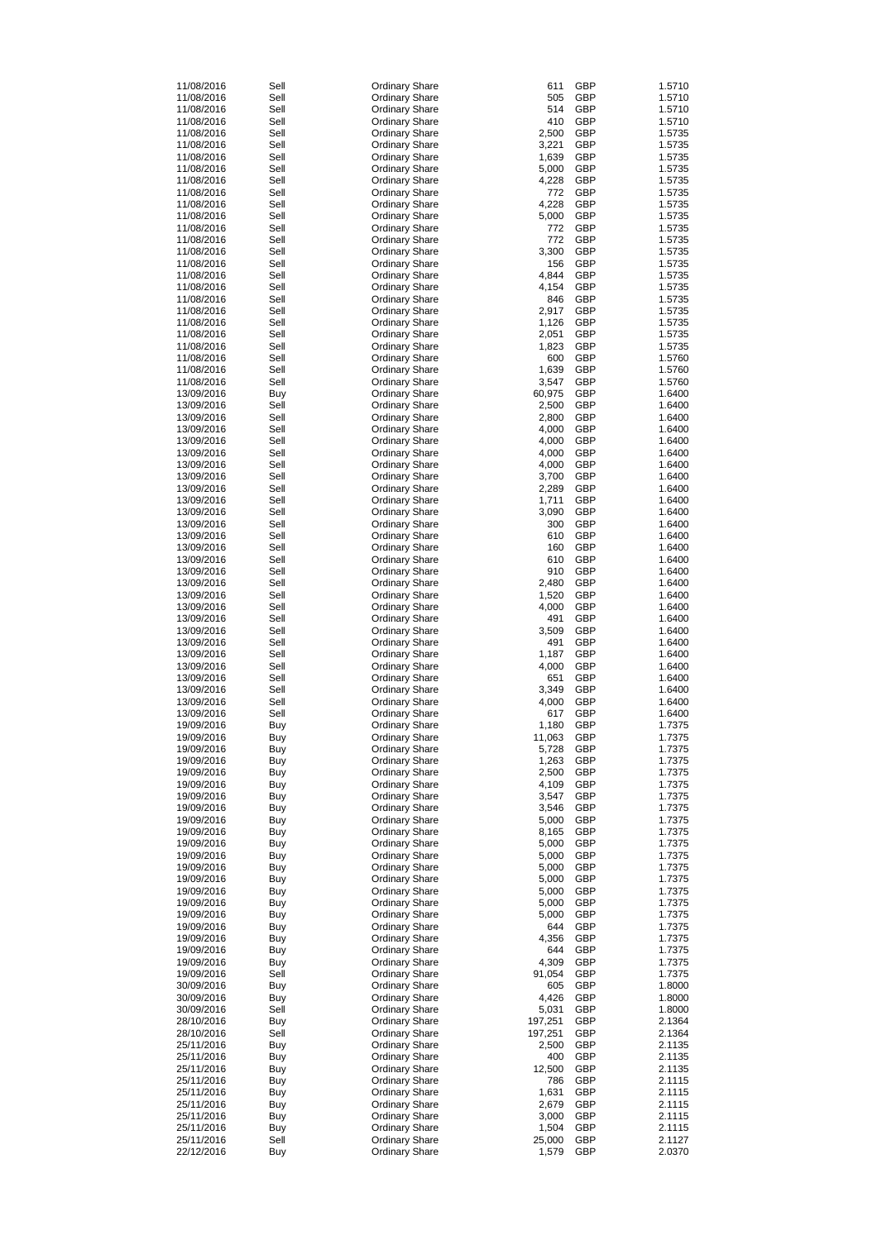| 11/08/2016 | Sell       | <b>Ordinary Share</b> | 611     | <b>GBP</b> | 1.5710 |
|------------|------------|-----------------------|---------|------------|--------|
| 11/08/2016 | Sell       | <b>Ordinary Share</b> | 505     | <b>GBP</b> | 1.5710 |
|            |            |                       | 514     |            |        |
| 11/08/2016 | Sell       | <b>Ordinary Share</b> |         | <b>GBP</b> | 1.5710 |
| 11/08/2016 | Sell       | <b>Ordinary Share</b> | 410     | <b>GBP</b> | 1.5710 |
| 11/08/2016 | Sell       | <b>Ordinary Share</b> | 2,500   | <b>GBP</b> | 1.5735 |
|            |            |                       |         |            |        |
| 11/08/2016 | Sell       | <b>Ordinary Share</b> | 3,221   | <b>GBP</b> | 1.5735 |
| 11/08/2016 | Sell       | <b>Ordinary Share</b> | 1,639   | <b>GBP</b> | 1.5735 |
| 11/08/2016 | Sell       | <b>Ordinary Share</b> | 5,000   | <b>GBP</b> | 1.5735 |
|            |            |                       |         |            |        |
| 11/08/2016 | Sell       | <b>Ordinary Share</b> | 4,228   | <b>GBP</b> | 1.5735 |
| 11/08/2016 | Sell       | <b>Ordinary Share</b> | 772     | <b>GBP</b> | 1.5735 |
| 11/08/2016 | Sell       |                       | 4,228   | <b>GBP</b> | 1.5735 |
|            |            | <b>Ordinary Share</b> |         |            |        |
| 11/08/2016 | Sell       | <b>Ordinary Share</b> | 5,000   | <b>GBP</b> | 1.5735 |
| 11/08/2016 | Sell       | <b>Ordinary Share</b> | 772     | <b>GBP</b> | 1.5735 |
|            |            |                       |         |            |        |
| 11/08/2016 | Sell       | <b>Ordinary Share</b> | 772     | <b>GBP</b> | 1.5735 |
| 11/08/2016 | Sell       | <b>Ordinary Share</b> | 3,300   | <b>GBP</b> | 1.5735 |
| 11/08/2016 | Sell       | <b>Ordinary Share</b> | 156     | <b>GBP</b> | 1.5735 |
|            |            |                       |         |            |        |
| 11/08/2016 | Sell       | <b>Ordinary Share</b> | 4,844   | <b>GBP</b> | 1.5735 |
| 11/08/2016 | Sell       | <b>Ordinary Share</b> | 4,154   | <b>GBP</b> | 1.5735 |
| 11/08/2016 | Sell       |                       | 846     | <b>GBP</b> | 1.5735 |
|            |            | <b>Ordinary Share</b> |         |            |        |
| 11/08/2016 | Sell       | <b>Ordinary Share</b> | 2,917   | <b>GBP</b> | 1.5735 |
| 11/08/2016 | Sell       | <b>Ordinary Share</b> | 1,126   | <b>GBP</b> | 1.5735 |
|            |            |                       |         | <b>GBP</b> |        |
| 11/08/2016 | Sell       | <b>Ordinary Share</b> | 2,051   |            | 1.5735 |
| 11/08/2016 | Sell       | <b>Ordinary Share</b> | 1,823   | <b>GBP</b> | 1.5735 |
| 11/08/2016 | Sell       | <b>Ordinary Share</b> | 600     | <b>GBP</b> | 1.5760 |
|            |            |                       |         |            |        |
| 11/08/2016 | Sell       | <b>Ordinary Share</b> | 1,639   | <b>GBP</b> | 1.5760 |
| 11/08/2016 | Sell       | <b>Ordinary Share</b> | 3,547   | <b>GBP</b> | 1.5760 |
| 13/09/2016 | Buy        | <b>Ordinary Share</b> | 60,975  | <b>GBP</b> | 1.6400 |
|            |            |                       |         |            |        |
| 13/09/2016 | Sell       | <b>Ordinary Share</b> | 2,500   | <b>GBP</b> | 1.6400 |
| 13/09/2016 | Sell       | <b>Ordinary Share</b> | 2,800   | <b>GBP</b> | 1.6400 |
|            |            |                       |         |            |        |
| 13/09/2016 | Sell       | <b>Ordinary Share</b> | 4,000   | <b>GBP</b> | 1.6400 |
| 13/09/2016 | Sell       | <b>Ordinary Share</b> | 4,000   | <b>GBP</b> | 1.6400 |
| 13/09/2016 | Sell       |                       | 4,000   | <b>GBP</b> | 1.6400 |
|            |            | <b>Ordinary Share</b> |         |            |        |
| 13/09/2016 | Sell       | <b>Ordinary Share</b> | 4,000   | <b>GBP</b> | 1.6400 |
| 13/09/2016 | Sell       | <b>Ordinary Share</b> | 3,700   | <b>GBP</b> | 1.6400 |
|            |            |                       |         |            |        |
| 13/09/2016 | Sell       | <b>Ordinary Share</b> | 2,289   | <b>GBP</b> | 1.6400 |
| 13/09/2016 | Sell       | <b>Ordinary Share</b> | 1,711   | <b>GBP</b> | 1.6400 |
| 13/09/2016 | Sell       | <b>Ordinary Share</b> | 3,090   | <b>GBP</b> | 1.6400 |
|            |            |                       |         |            |        |
| 13/09/2016 | Sell       | <b>Ordinary Share</b> | 300     | <b>GBP</b> | 1.6400 |
| 13/09/2016 | Sell       | <b>Ordinary Share</b> | 610     | <b>GBP</b> | 1.6400 |
|            |            |                       |         |            |        |
| 13/09/2016 | Sell       | <b>Ordinary Share</b> | 160     | <b>GBP</b> | 1.6400 |
| 13/09/2016 | Sell       | <b>Ordinary Share</b> | 610     | <b>GBP</b> | 1.6400 |
| 13/09/2016 | Sell       | <b>Ordinary Share</b> | 910     | <b>GBP</b> | 1.6400 |
|            |            |                       |         |            |        |
| 13/09/2016 | Sell       | <b>Ordinary Share</b> | 2,480   | <b>GBP</b> | 1.6400 |
| 13/09/2016 | Sell       | <b>Ordinary Share</b> | 1,520   | <b>GBP</b> | 1.6400 |
|            |            |                       |         |            |        |
| 13/09/2016 | Sell       | <b>Ordinary Share</b> | 4,000   | <b>GBP</b> | 1.6400 |
| 13/09/2016 | Sell       | <b>Ordinary Share</b> | 491     | <b>GBP</b> | 1.6400 |
| 13/09/2016 | Sell       | <b>Ordinary Share</b> | 3,509   | <b>GBP</b> | 1.6400 |
|            |            |                       |         |            |        |
| 13/09/2016 | Sell       | <b>Ordinary Share</b> | 491     | <b>GBP</b> | 1.6400 |
| 13/09/2016 | Sell       | <b>Ordinary Share</b> | 1,187   | <b>GBP</b> | 1.6400 |
|            |            |                       |         |            |        |
| 13/09/2016 | Sell       | <b>Ordinary Share</b> | 4,000   | <b>GBP</b> | 1.6400 |
| 13/09/2016 | Sell       | <b>Ordinary Share</b> | 651     | <b>GBP</b> | 1.6400 |
| 13/09/2016 | Sell       | <b>Ordinary Share</b> | 3,349   | <b>GBP</b> | 1.6400 |
|            |            |                       |         |            |        |
| 13/09/2016 | Sell       | <b>Ordinary Share</b> | 4,000   | <b>GBP</b> | 1.6400 |
| 13/09/2016 | Sell       | <b>Ordinary Share</b> | 617     | <b>GBP</b> | 1.6400 |
| 19/09/2016 |            | <b>Ordinary Share</b> | 1,180   | <b>GBP</b> | 1.7375 |
|            | Buy        |                       |         |            |        |
| 19/09/2016 | Buy        | <b>Ordinary Share</b> | 11,063  | <b>GBP</b> | 1.7375 |
| 19/09/2016 | Buy        | <b>Ordinary Share</b> | 5,728   | <b>GBP</b> | 1.7375 |
|            |            |                       |         |            |        |
| 19/09/2016 | Buy        | <b>Ordinary Share</b> | 1,263   | <b>GBP</b> | 1.7375 |
| 19/09/2016 | Buy        | <b>Ordinary Share</b> | 2,500   | <b>GBP</b> | 1.7375 |
| 19/09/2016 |            |                       | 4,109   | <b>GBP</b> | 1.7375 |
|            | Buy        | <b>Ordinary Share</b> |         |            |        |
| 19/09/2016 | Buy        | <b>Ordinary Share</b> | 3,547   | <b>GBP</b> | 1.7375 |
| 19/09/2016 | Buy        | <b>Ordinary Share</b> | 3,546   | <b>GBP</b> | 1.7375 |
|            |            |                       |         |            |        |
| 19/09/2016 | Buy        | <b>Ordinary Share</b> | 5,000   | <b>GBP</b> | 1.7375 |
| 19/09/2016 | Buy        | <b>Ordinary Share</b> | 8,165   | <b>GBP</b> | 1.7375 |
| 19/09/2016 | Buy        | <b>Ordinary Share</b> | 5,000   | <b>GBP</b> | 1.7375 |
|            |            |                       |         |            |        |
| 19/09/2016 | Buy        | <b>Ordinary Share</b> | 5,000   | <b>GBP</b> | 1.7375 |
| 19/09/2016 | Buy        | <b>Ordinary Share</b> | 5,000   | <b>GBP</b> | 1.7375 |
| 19/09/2016 |            | <b>Ordinary Share</b> | 5,000   | <b>GBP</b> | 1.7375 |
|            | Buy        |                       |         |            |        |
| 19/09/2016 | Buy        | <b>Ordinary Share</b> | 5,000   | <b>GBP</b> | 1.7375 |
| 19/09/2016 | Buy        | <b>Ordinary Share</b> | 5,000   | <b>GBP</b> | 1.7375 |
|            |            |                       |         |            |        |
| 19/09/2016 | Buy        | <b>Ordinary Share</b> | 5,000   | <b>GBP</b> | 1.7375 |
| 19/09/2016 | Buy        | <b>Ordinary Share</b> | 644     | <b>GBP</b> | 1.7375 |
| 19/09/2016 | Buy        | <b>Ordinary Share</b> | 4,356   | <b>GBP</b> | 1.7375 |
|            |            |                       |         |            |        |
| 19/09/2016 | Buy        | <b>Ordinary Share</b> | 644     | <b>GBP</b> | 1.7375 |
| 19/09/2016 | <b>Buy</b> | <b>Ordinary Share</b> | 4,309   | <b>GBP</b> | 1.7375 |
|            |            |                       |         |            |        |
| 19/09/2016 | Sell       | <b>Ordinary Share</b> | 91,054  | <b>GBP</b> | 1.7375 |
| 30/09/2016 | <b>Buy</b> | <b>Ordinary Share</b> | 605     | <b>GBP</b> | 1.8000 |
| 30/09/2016 | <b>Buy</b> | <b>Ordinary Share</b> | 4,426   | <b>GBP</b> | 1.8000 |
|            |            |                       |         |            |        |
| 30/09/2016 | Sell       | <b>Ordinary Share</b> | 5,031   | <b>GBP</b> | 1.8000 |
| 28/10/2016 | <b>Buy</b> | <b>Ordinary Share</b> | 197,251 | <b>GBP</b> | 2.1364 |
| 28/10/2016 | Sell       |                       | 197,251 | <b>GBP</b> | 2.1364 |
|            |            | <b>Ordinary Share</b> |         |            |        |
| 25/11/2016 | <b>Buy</b> | <b>Ordinary Share</b> | 2,500   | <b>GBP</b> | 2.1135 |
| 25/11/2016 | <b>Buy</b> | <b>Ordinary Share</b> | 400     | <b>GBP</b> | 2.1135 |
|            |            |                       |         |            |        |
| 25/11/2016 | <b>Buy</b> | <b>Ordinary Share</b> | 12,500  | <b>GBP</b> | 2.1135 |
| 25/11/2016 | <b>Buy</b> | <b>Ordinary Share</b> | 786     | <b>GBP</b> | 2.1115 |
| 25/11/2016 | <b>Buy</b> | <b>Ordinary Share</b> | 1,631   | <b>GBP</b> | 2.1115 |
|            |            |                       |         |            |        |
| 25/11/2016 | <b>Buy</b> | <b>Ordinary Share</b> | 2,679   | <b>GBP</b> | 2.1115 |
| 25/11/2016 | <b>Buy</b> | <b>Ordinary Share</b> | 3,000   | <b>GBP</b> | 2.1115 |
| 25/11/2016 |            |                       |         | <b>GBP</b> |        |
|            | <b>Buy</b> | <b>Ordinary Share</b> | 1,504   |            | 2.1115 |
| 25/11/2016 | Sell       | <b>Ordinary Share</b> | 25,000  | <b>GBP</b> | 2.1127 |
| 22/12/2016 | <b>Buy</b> | <b>Ordinary Share</b> | 1,579   | <b>GBP</b> | 2.0370 |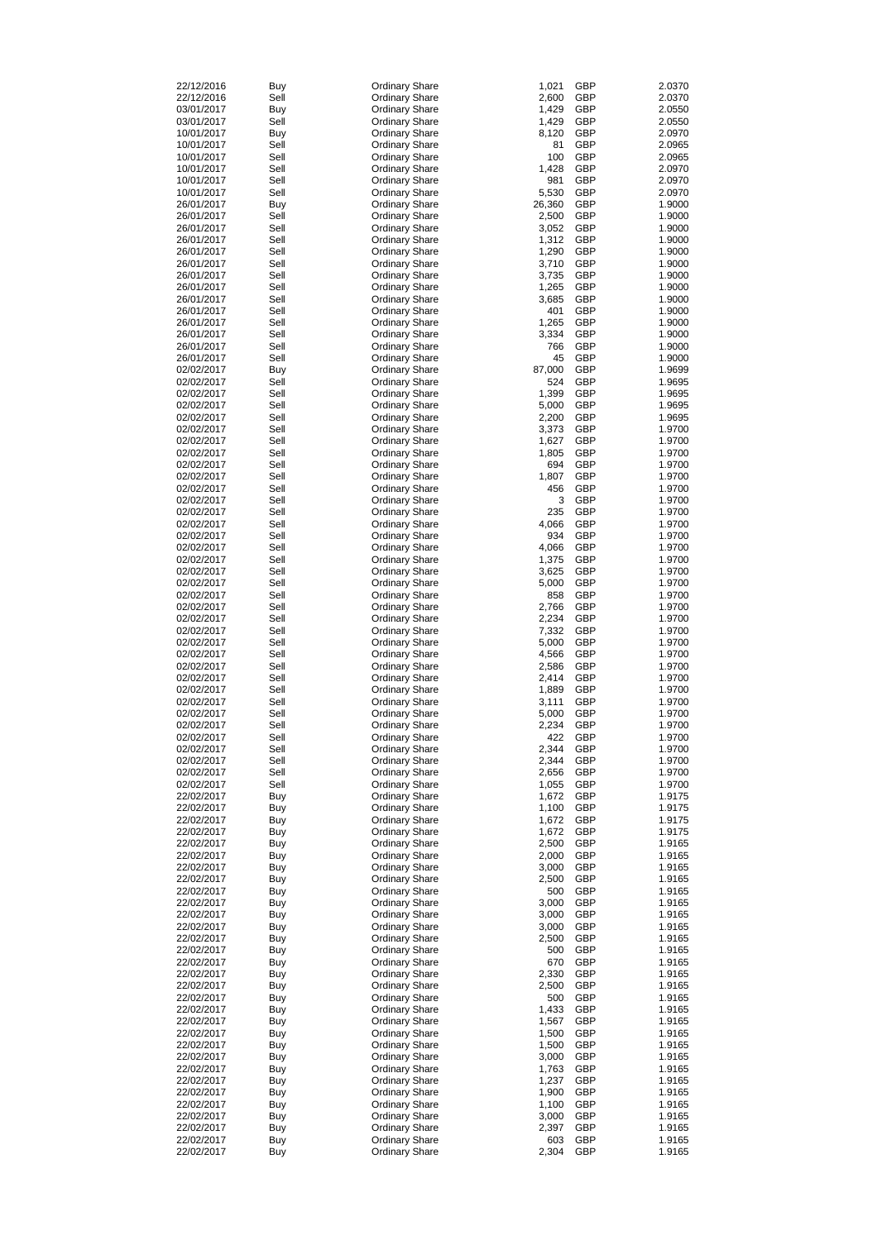| 22/12/2016 | Buy        | <b>Ordinary Share</b> | 1,021  | <b>GBP</b> | 2.0370 |
|------------|------------|-----------------------|--------|------------|--------|
| 22/12/2016 | Sell       | <b>Ordinary Share</b> | 2,600  | <b>GBP</b> | 2.0370 |
| 03/01/2017 | <b>Buy</b> | <b>Ordinary Share</b> | 1,429  | <b>GBP</b> | 2.0550 |
| 03/01/2017 | Sell       | <b>Ordinary Share</b> | 1,429  | <b>GBP</b> | 2.0550 |
| 10/01/2017 | <b>Buy</b> | <b>Ordinary Share</b> | 8,120  | <b>GBP</b> | 2.0970 |
| 10/01/2017 | Sell       | <b>Ordinary Share</b> | 81     | <b>GBP</b> | 2.0965 |
|            | Sell       |                       |        | <b>GBP</b> |        |
| 10/01/2017 |            | <b>Ordinary Share</b> | 100    |            | 2.0965 |
| 10/01/2017 | Sell       | <b>Ordinary Share</b> | 1,428  | <b>GBP</b> | 2.0970 |
| 10/01/2017 | Sell       | <b>Ordinary Share</b> | 981    | <b>GBP</b> | 2.0970 |
| 10/01/2017 | Sell       | <b>Ordinary Share</b> | 5,530  | <b>GBP</b> | 2.0970 |
| 26/01/2017 | <b>Buy</b> | <b>Ordinary Share</b> | 26,360 | <b>GBP</b> | 1.9000 |
| 26/01/2017 | Sell       | <b>Ordinary Share</b> | 2,500  | <b>GBP</b> | 1.9000 |
| 26/01/2017 | Sell       | <b>Ordinary Share</b> | 3,052  | <b>GBP</b> | 1.9000 |
| 26/01/2017 | Sell       | <b>Ordinary Share</b> | 1,312  | <b>GBP</b> | 1.9000 |
|            | Sell       |                       |        | <b>GBP</b> | 1.9000 |
| 26/01/2017 |            | <b>Ordinary Share</b> | 1,290  |            |        |
| 26/01/2017 | Sell       | <b>Ordinary Share</b> | 3,710  | <b>GBP</b> | 1.9000 |
| 26/01/2017 | Sell       | <b>Ordinary Share</b> | 3,735  | <b>GBP</b> | 1.9000 |
| 26/01/2017 | Sell       | <b>Ordinary Share</b> | 1,265  | <b>GBP</b> | 1.9000 |
| 26/01/2017 | Sell       | <b>Ordinary Share</b> | 3,685  | <b>GBP</b> | 1.9000 |
| 26/01/2017 | Sell       | <b>Ordinary Share</b> | 401    | <b>GBP</b> | 1.9000 |
| 26/01/2017 | Sell       | <b>Ordinary Share</b> | 1,265  | <b>GBP</b> | 1.9000 |
| 26/01/2017 | Sell       | <b>Ordinary Share</b> | 3,334  | <b>GBP</b> | 1.9000 |
|            |            |                       |        |            |        |
| 26/01/2017 | Sell       | <b>Ordinary Share</b> | 766    | <b>GBP</b> | 1.9000 |
| 26/01/2017 | Sell       | <b>Ordinary Share</b> | 45     | <b>GBP</b> | 1.9000 |
| 02/02/2017 | <b>Buy</b> | <b>Ordinary Share</b> | 87,000 | <b>GBP</b> | 1.9699 |
| 02/02/2017 | Sell       | <b>Ordinary Share</b> | 524    | <b>GBP</b> | 1.9695 |
| 02/02/2017 | Sell       | <b>Ordinary Share</b> | 1,399  | <b>GBP</b> | 1.9695 |
| 02/02/2017 | Sell       | <b>Ordinary Share</b> | 5,000  | <b>GBP</b> | 1.9695 |
| 02/02/2017 | Sell       | <b>Ordinary Share</b> | 2,200  | <b>GBP</b> | 1.9695 |
|            |            |                       |        |            |        |
| 02/02/2017 | Sell       | <b>Ordinary Share</b> | 3,373  | <b>GBP</b> | 1.9700 |
| 02/02/2017 | Sell       | <b>Ordinary Share</b> | 1,627  | <b>GBP</b> | 1.9700 |
| 02/02/2017 | Sell       | <b>Ordinary Share</b> | 1,805  | <b>GBP</b> | 1.9700 |
| 02/02/2017 | Sell       | <b>Ordinary Share</b> | 694    | <b>GBP</b> | 1.9700 |
| 02/02/2017 | Sell       | <b>Ordinary Share</b> | 1,807  | <b>GBP</b> | 1.9700 |
| 02/02/2017 | Sell       | <b>Ordinary Share</b> | 456    | <b>GBP</b> | 1.9700 |
| 02/02/2017 | Sell       |                       | 3      | <b>GBP</b> | 1.9700 |
|            |            | <b>Ordinary Share</b> |        |            |        |
| 02/02/2017 | Sell       | <b>Ordinary Share</b> | 235    | <b>GBP</b> | 1.9700 |
| 02/02/2017 | Sell       | <b>Ordinary Share</b> | 4,066  | <b>GBP</b> | 1.9700 |
| 02/02/2017 | Sell       | <b>Ordinary Share</b> | 934    | <b>GBP</b> | 1.9700 |
| 02/02/2017 | Sell       | <b>Ordinary Share</b> | 4,066  | <b>GBP</b> | 1.9700 |
| 02/02/2017 | Sell       | <b>Ordinary Share</b> | 1,375  | <b>GBP</b> | 1.9700 |
| 02/02/2017 | Sell       | <b>Ordinary Share</b> | 3,625  | <b>GBP</b> | 1.9700 |
| 02/02/2017 | Sell       | <b>Ordinary Share</b> | 5,000  | <b>GBP</b> | 1.9700 |
|            |            |                       |        |            |        |
| 02/02/2017 | Sell       | <b>Ordinary Share</b> | 858    | <b>GBP</b> | 1.9700 |
| 02/02/2017 | Sell       | <b>Ordinary Share</b> | 2,766  | <b>GBP</b> | 1.9700 |
| 02/02/2017 | Sell       | <b>Ordinary Share</b> | 2,234  | <b>GBP</b> | 1.9700 |
| 02/02/2017 | Sell       | <b>Ordinary Share</b> | 7,332  | <b>GBP</b> | 1.9700 |
| 02/02/2017 | Sell       | <b>Ordinary Share</b> | 5,000  | <b>GBP</b> | 1.9700 |
| 02/02/2017 | Sell       | <b>Ordinary Share</b> | 4,566  | <b>GBP</b> | 1.9700 |
| 02/02/2017 | Sell       |                       |        | <b>GBP</b> |        |
|            |            | <b>Ordinary Share</b> | 2,586  |            | 1.9700 |
| 02/02/2017 | Sell       | <b>Ordinary Share</b> | 2,414  | <b>GBP</b> | 1.9700 |
| 02/02/2017 | Sell       | <b>Ordinary Share</b> | 1,889  | <b>GBP</b> | 1.9700 |
| 02/02/2017 | Sell       | <b>Ordinary Share</b> | 3,111  | <b>GBP</b> | 1.9700 |
| 02/02/2017 | Sell       | <b>Ordinary Share</b> | 5,000  | <b>GBP</b> | 1.9700 |
| 02/02/2017 | Sell       | <b>Ordinary Share</b> | 2,234  | <b>GBP</b> | 1.9700 |
| 02/02/2017 | Sell       | <b>Ordinary Share</b> | 422    | <b>GBP</b> | 1.9700 |
| 02/02/2017 | Sell       | <b>Ordinary Share</b> | 2,344  | <b>GBP</b> | 1.9700 |
| 02/02/2017 | Sell       | <b>Ordinary Share</b> | 2,344  | <b>GBP</b> | 1.9700 |
|            |            |                       |        |            |        |
| 02/02/2017 | Sell       | <b>Ordinary Share</b> | 2,656  | <b>GBP</b> | 1.9700 |
| 02/02/2017 | Sell       | <b>Ordinary Share</b> | 1,055  | <b>GBP</b> | 1.9700 |
| 22/02/2017 | Buy        | <b>Ordinary Share</b> | 1,672  | <b>GBP</b> | 1.9175 |
| 22/02/2017 | <b>Buy</b> | <b>Ordinary Share</b> | 1,100  | <b>GBP</b> | 1.9175 |
| 22/02/2017 | <b>Buy</b> | <b>Ordinary Share</b> | 1,672  | <b>GBP</b> | 1.9175 |
| 22/02/2017 | Buy        | <b>Ordinary Share</b> | 1,672  | <b>GBP</b> | 1.9175 |
| 22/02/2017 | Buy        | <b>Ordinary Share</b> | 2,500  | <b>GBP</b> | 1.9165 |
| 22/02/2017 | Buy        | <b>Ordinary Share</b> | 2,000  | <b>GBP</b> | 1.9165 |
| 22/02/2017 |            | <b>Ordinary Share</b> | 3,000  | <b>GBP</b> | 1.9165 |
|            | Buy        |                       |        |            |        |
| 22/02/2017 | Buy        | <b>Ordinary Share</b> | 2,500  | <b>GBP</b> | 1.9165 |
| 22/02/2017 | Buy        | <b>Ordinary Share</b> | 500    | <b>GBP</b> | 1.9165 |
| 22/02/2017 | Buy        | <b>Ordinary Share</b> | 3,000  | <b>GBP</b> | 1.9165 |
| 22/02/2017 | Buy        | <b>Ordinary Share</b> | 3,000  | <b>GBP</b> | 1.9165 |
| 22/02/2017 | Buy        | <b>Ordinary Share</b> | 3,000  | <b>GBP</b> | 1.9165 |
| 22/02/2017 | Buy        | <b>Ordinary Share</b> | 2,500  | <b>GBP</b> | 1.9165 |
| 22/02/2017 |            | <b>Ordinary Share</b> | 500    | <b>GBP</b> | 1.9165 |
|            | Buy        |                       | 670    | <b>GBP</b> |        |
| 22/02/2017 | <b>Buy</b> | <b>Ordinary Share</b> |        |            | 1.9165 |
| 22/02/2017 | Buy        | <b>Ordinary Share</b> | 2,330  | <b>GBP</b> | 1.9165 |
| 22/02/2017 | <b>Buy</b> | <b>Ordinary Share</b> | 2,500  | <b>GBP</b> | 1.9165 |
| 22/02/2017 | <b>Buy</b> | <b>Ordinary Share</b> | 500    | <b>GBP</b> | 1.9165 |
| 22/02/2017 | <b>Buy</b> | <b>Ordinary Share</b> | 1,433  | <b>GBP</b> | 1.9165 |
| 22/02/2017 | <b>Buy</b> | <b>Ordinary Share</b> | 1,567  | <b>GBP</b> | 1.9165 |
| 22/02/2017 | <b>Buy</b> | <b>Ordinary Share</b> | 1,500  | <b>GBP</b> | 1.9165 |
| 22/02/2017 | <b>Buy</b> | <b>Ordinary Share</b> | 1,500  | <b>GBP</b> | 1.9165 |
|            |            |                       | 3,000  |            |        |
| 22/02/2017 | <b>Buy</b> | <b>Ordinary Share</b> |        | <b>GBP</b> | 1.9165 |
| 22/02/2017 | <b>Buy</b> | <b>Ordinary Share</b> | 1,763  | <b>GBP</b> | 1.9165 |
| 22/02/2017 | <b>Buy</b> | <b>Ordinary Share</b> | 1,237  | <b>GBP</b> | 1.9165 |
| 22/02/2017 | <b>Buy</b> | <b>Ordinary Share</b> | 1,900  | <b>GBP</b> | 1.9165 |
| 22/02/2017 | <b>Buy</b> | <b>Ordinary Share</b> | 1,100  | <b>GBP</b> | 1.9165 |
| 22/02/2017 | <b>Buy</b> | <b>Ordinary Share</b> | 3,000  | <b>GBP</b> | 1.9165 |
| 22/02/2017 | <b>Buy</b> | <b>Ordinary Share</b> | 2,397  | <b>GBP</b> | 1.9165 |
| 22/02/2017 | <b>Buy</b> | <b>Ordinary Share</b> | 603    | <b>GBP</b> | 1.9165 |
| 22/02/2017 | <b>Buy</b> | <b>Ordinary Share</b> | 2,304  | <b>GBP</b> | 1.9165 |
|            |            |                       |        |            |        |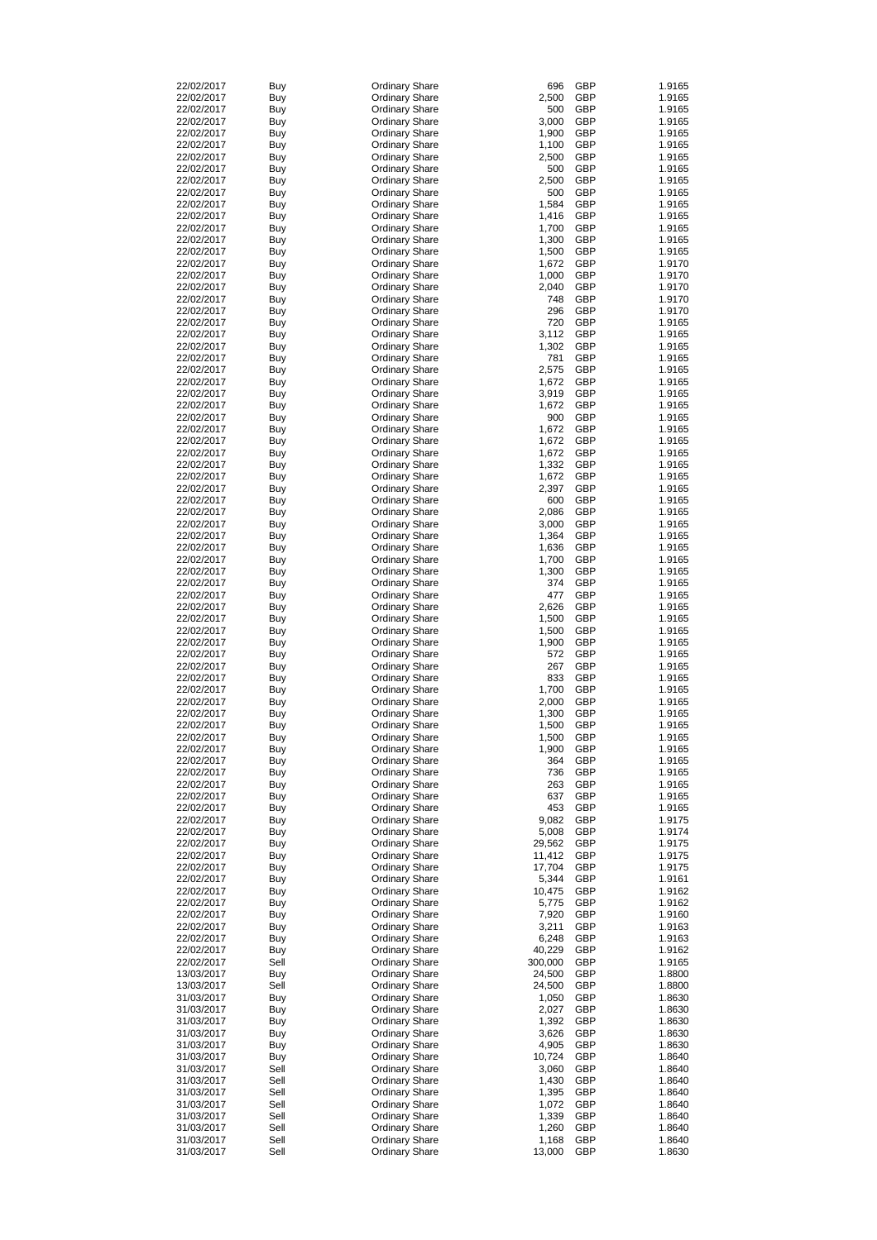| 22/02/2017 | <b>Buy</b> | <b>Ordinary Share</b> | 696     | <b>GBP</b> | 1.9165 |
|------------|------------|-----------------------|---------|------------|--------|
| 22/02/2017 | <b>Buy</b> | <b>Ordinary Share</b> | 2,500   | <b>GBP</b> | 1.9165 |
| 22/02/2017 | <b>Buy</b> | <b>Ordinary Share</b> | 500     | <b>GBP</b> | 1.9165 |
| 22/02/2017 | <b>Buy</b> | <b>Ordinary Share</b> | 3,000   | <b>GBP</b> | 1.9165 |
| 22/02/2017 | <b>Buy</b> | <b>Ordinary Share</b> | 1,900   | <b>GBP</b> | 1.9165 |
|            |            |                       |         |            |        |
| 22/02/2017 | <b>Buy</b> | <b>Ordinary Share</b> | 1,100   | <b>GBP</b> | 1.9165 |
| 22/02/2017 | <b>Buy</b> | <b>Ordinary Share</b> | 2,500   | <b>GBP</b> | 1.9165 |
| 22/02/2017 | <b>Buy</b> | <b>Ordinary Share</b> | 500     | <b>GBP</b> | 1.9165 |
| 22/02/2017 | <b>Buy</b> | <b>Ordinary Share</b> | 2,500   | <b>GBP</b> | 1.9165 |
| 22/02/2017 | <b>Buy</b> | <b>Ordinary Share</b> | 500     | <b>GBP</b> | 1.9165 |
|            |            |                       |         |            |        |
| 22/02/2017 | <b>Buy</b> | <b>Ordinary Share</b> | 1,584   | <b>GBP</b> | 1.9165 |
| 22/02/2017 | <b>Buy</b> | <b>Ordinary Share</b> | 1,416   | <b>GBP</b> | 1.9165 |
| 22/02/2017 | <b>Buy</b> | <b>Ordinary Share</b> | 1,700   | <b>GBP</b> | 1.9165 |
| 22/02/2017 | <b>Buy</b> | <b>Ordinary Share</b> | 1,300   | <b>GBP</b> | 1.9165 |
| 22/02/2017 | <b>Buy</b> | <b>Ordinary Share</b> | 1,500   | <b>GBP</b> | 1.9165 |
|            |            |                       |         |            |        |
| 22/02/2017 | <b>Buy</b> | <b>Ordinary Share</b> | 1,672   | <b>GBP</b> | 1.9170 |
| 22/02/2017 | <b>Buy</b> | <b>Ordinary Share</b> | 1,000   | <b>GBP</b> | 1.9170 |
| 22/02/2017 | <b>Buy</b> | <b>Ordinary Share</b> | 2,040   | <b>GBP</b> | 1.9170 |
| 22/02/2017 | <b>Buy</b> | <b>Ordinary Share</b> | 748     | <b>GBP</b> | 1.9170 |
| 22/02/2017 | <b>Buy</b> | <b>Ordinary Share</b> | 296     | <b>GBP</b> | 1.9170 |
|            |            |                       | 720     | <b>GBP</b> | 1.9165 |
| 22/02/2017 | <b>Buy</b> | <b>Ordinary Share</b> |         |            |        |
| 22/02/2017 | <b>Buy</b> | <b>Ordinary Share</b> | 3,112   | <b>GBP</b> | 1.9165 |
| 22/02/2017 | <b>Buy</b> | <b>Ordinary Share</b> | 1,302   | <b>GBP</b> | 1.9165 |
| 22/02/2017 | <b>Buy</b> | <b>Ordinary Share</b> | 781     | <b>GBP</b> | 1.9165 |
| 22/02/2017 | <b>Buy</b> | <b>Ordinary Share</b> | 2,575   | <b>GBP</b> | 1.9165 |
| 22/02/2017 | <b>Buy</b> | <b>Ordinary Share</b> | 1,672   | <b>GBP</b> | 1.9165 |
|            |            |                       |         |            |        |
| 22/02/2017 | <b>Buy</b> | <b>Ordinary Share</b> | 3,919   | <b>GBP</b> | 1.9165 |
| 22/02/2017 | <b>Buy</b> | <b>Ordinary Share</b> | 1,672   | <b>GBP</b> | 1.9165 |
| 22/02/2017 | <b>Buy</b> | <b>Ordinary Share</b> | 900     | <b>GBP</b> | 1.9165 |
| 22/02/2017 | <b>Buy</b> | <b>Ordinary Share</b> | 1,672   | <b>GBP</b> | 1.9165 |
| 22/02/2017 |            |                       | 1,672   | <b>GBP</b> | 1.9165 |
|            | <b>Buy</b> | <b>Ordinary Share</b> |         |            |        |
| 22/02/2017 | Buy        | <b>Ordinary Share</b> | 1,672   | <b>GBP</b> | 1.9165 |
| 22/02/2017 | Buy        | <b>Ordinary Share</b> | 1,332   | <b>GBP</b> | 1.9165 |
| 22/02/2017 | Buy        | <b>Ordinary Share</b> | 1,672   | <b>GBP</b> | 1.9165 |
| 22/02/2017 | Buy        | <b>Ordinary Share</b> | 2,397   | <b>GBP</b> | 1.9165 |
| 22/02/2017 |            | <b>Ordinary Share</b> | 600     | <b>GBP</b> | 1.9165 |
|            | <b>Buy</b> |                       |         |            |        |
| 22/02/2017 | <b>Buy</b> | <b>Ordinary Share</b> | 2,086   | <b>GBP</b> | 1.9165 |
| 22/02/2017 | Buy        | <b>Ordinary Share</b> | 3,000   | <b>GBP</b> | 1.9165 |
| 22/02/2017 | <b>Buy</b> | <b>Ordinary Share</b> | 1,364   | <b>GBP</b> | 1.9165 |
| 22/02/2017 | <b>Buy</b> | <b>Ordinary Share</b> | 1,636   | <b>GBP</b> | 1.9165 |
| 22/02/2017 | Buy        | <b>Ordinary Share</b> | 1,700   | <b>GBP</b> | 1.9165 |
|            |            |                       |         |            |        |
| 22/02/2017 | Buy        | <b>Ordinary Share</b> | 1,300   | <b>GBP</b> | 1.9165 |
| 22/02/2017 | Buy        | <b>Ordinary Share</b> | 374     | <b>GBP</b> | 1.9165 |
| 22/02/2017 | <b>Buy</b> | <b>Ordinary Share</b> | 477     | <b>GBP</b> | 1.9165 |
| 22/02/2017 | Buy        | <b>Ordinary Share</b> | 2,626   | <b>GBP</b> | 1.9165 |
| 22/02/2017 | Buy        | <b>Ordinary Share</b> | 1,500   | <b>GBP</b> | 1.9165 |
|            |            |                       |         |            | 1.9165 |
| 22/02/2017 | Buy        | <b>Ordinary Share</b> | 1,500   | <b>GBP</b> |        |
| 22/02/2017 | Buy        | <b>Ordinary Share</b> | 1,900   | <b>GBP</b> | 1.9165 |
| 22/02/2017 | <b>Buy</b> | <b>Ordinary Share</b> | 572     | <b>GBP</b> | 1.9165 |
| 22/02/2017 | <b>Buy</b> | <b>Ordinary Share</b> | 267     | <b>GBP</b> | 1.9165 |
| 22/02/2017 | <b>Buy</b> | <b>Ordinary Share</b> | 833     | <b>GBP</b> | 1.9165 |
| 22/02/2017 |            | <b>Ordinary Share</b> | 1,700   | <b>GBP</b> | 1.9165 |
|            | <b>Buy</b> |                       |         |            |        |
| 22/02/2017 | <b>Buy</b> | <b>Ordinary Share</b> | 2,000   | <b>GBP</b> | 1.9165 |
| 22/02/2017 | <b>Buy</b> | <b>Ordinary Share</b> | 1,300   | <b>GBP</b> | 1.9165 |
| 22/02/2017 | <b>Buy</b> | <b>Ordinary Share</b> | 1,500   | <b>GBP</b> | 1.9165 |
| 22/02/2017 | <b>Buy</b> | <b>Ordinary Share</b> | 1,500   | <b>GBP</b> | 1.9165 |
| 22/02/2017 | <b>Buy</b> | <b>Ordinary Share</b> | 1,900   | <b>GBP</b> | 1.9165 |
|            |            |                       |         |            |        |
| 22/02/2017 | <b>Buy</b> | <b>Ordinary Share</b> | 364     | <b>GBP</b> | 1.9165 |
| 22/02/2017 | <b>Buy</b> | <b>Ordinary Share</b> | 736     | <b>GBP</b> | 1.9165 |
| 22/02/2017 | <b>Buy</b> | <b>Ordinary Share</b> | 263     | <b>GBP</b> | 1.9165 |
| 22/02/2017 | <b>Buy</b> | <b>Ordinary Share</b> | 637     | <b>GBP</b> | 1.9165 |
| 22/02/2017 | <b>Buy</b> | <b>Ordinary Share</b> | 453     | <b>GBP</b> | 1.9165 |
| 22/02/2017 | <b>Buy</b> | <b>Ordinary Share</b> | 9,082   | <b>GBP</b> | 1.9175 |
|            |            |                       |         |            |        |
| 22/02/2017 | <b>Buy</b> | <b>Ordinary Share</b> | 5,008   | <b>GBP</b> | 1.9174 |
| 22/02/2017 | <b>Buy</b> | <b>Ordinary Share</b> | 29,562  | <b>GBP</b> | 1.9175 |
| 22/02/2017 | <b>Buy</b> | <b>Ordinary Share</b> | 11,412  | <b>GBP</b> | 1.9175 |
| 22/02/2017 | <b>Buy</b> | <b>Ordinary Share</b> | 17,704  | <b>GBP</b> | 1.9175 |
| 22/02/2017 | <b>Buy</b> | <b>Ordinary Share</b> | 5,344   | <b>GBP</b> | 1.9161 |
| 22/02/2017 | <b>Buy</b> | <b>Ordinary Share</b> | 10,475  | <b>GBP</b> | 1.9162 |
|            |            | <b>Ordinary Share</b> | 5,775   | <b>GBP</b> | 1.9162 |
| 22/02/2017 | <b>Buy</b> |                       |         |            |        |
| 22/02/2017 | <b>Buy</b> | <b>Ordinary Share</b> | 7,920   | <b>GBP</b> | 1.9160 |
| 22/02/2017 | <b>Buy</b> | <b>Ordinary Share</b> | 3,211   | <b>GBP</b> | 1.9163 |
| 22/02/2017 | <b>Buy</b> | <b>Ordinary Share</b> | 6,248   | <b>GBP</b> | 1.9163 |
| 22/02/2017 | Buy        | <b>Ordinary Share</b> | 40,229  | <b>GBP</b> | 1.9162 |
| 22/02/2017 | Sell       | <b>Ordinary Share</b> | 300,000 | <b>GBP</b> | 1.9165 |
|            |            |                       |         |            |        |
| 13/03/2017 | Buy        | <b>Ordinary Share</b> | 24,500  | <b>GBP</b> | 1.8800 |
| 13/03/2017 | Sell       | <b>Ordinary Share</b> | 24,500  | <b>GBP</b> | 1.8800 |
| 31/03/2017 | <b>Buy</b> | <b>Ordinary Share</b> | 1,050   | <b>GBP</b> | 1.8630 |
| 31/03/2017 | Buy        | <b>Ordinary Share</b> | 2,027   | <b>GBP</b> | 1.8630 |
| 31/03/2017 | <b>Buy</b> | <b>Ordinary Share</b> | 1,392   | <b>GBP</b> | 1.8630 |
| 31/03/2017 | <b>Buy</b> | <b>Ordinary Share</b> | 3,626   | <b>GBP</b> | 1.8630 |
|            |            |                       |         |            |        |
| 31/03/2017 | <b>Buy</b> | <b>Ordinary Share</b> | 4,905   | <b>GBP</b> | 1.8630 |
| 31/03/2017 | <b>Buy</b> | <b>Ordinary Share</b> | 10,724  | <b>GBP</b> | 1.8640 |
| 31/03/2017 | Sell       | <b>Ordinary Share</b> | 3,060   | <b>GBP</b> | 1.8640 |
| 31/03/2017 | Sell       | <b>Ordinary Share</b> | 1,430   | <b>GBP</b> | 1.8640 |
| 31/03/2017 | Sell       | <b>Ordinary Share</b> | 1,395   | <b>GBP</b> | 1.8640 |
| 31/03/2017 | Sell       |                       | 1,072   | <b>GBP</b> | 1.8640 |
|            |            | <b>Ordinary Share</b> |         |            |        |
| 31/03/2017 | Sell       | <b>Ordinary Share</b> | 1,339   | <b>GBP</b> | 1.8640 |
| 31/03/2017 | Sell       | <b>Ordinary Share</b> | 1,260   | <b>GBP</b> | 1.8640 |
| 31/03/2017 | Sell       | <b>Ordinary Share</b> | 1,168   | <b>GBP</b> | 1.8640 |
| 31/03/2017 | Sell       | <b>Ordinary Share</b> | 13,000  | <b>GBP</b> | 1.8630 |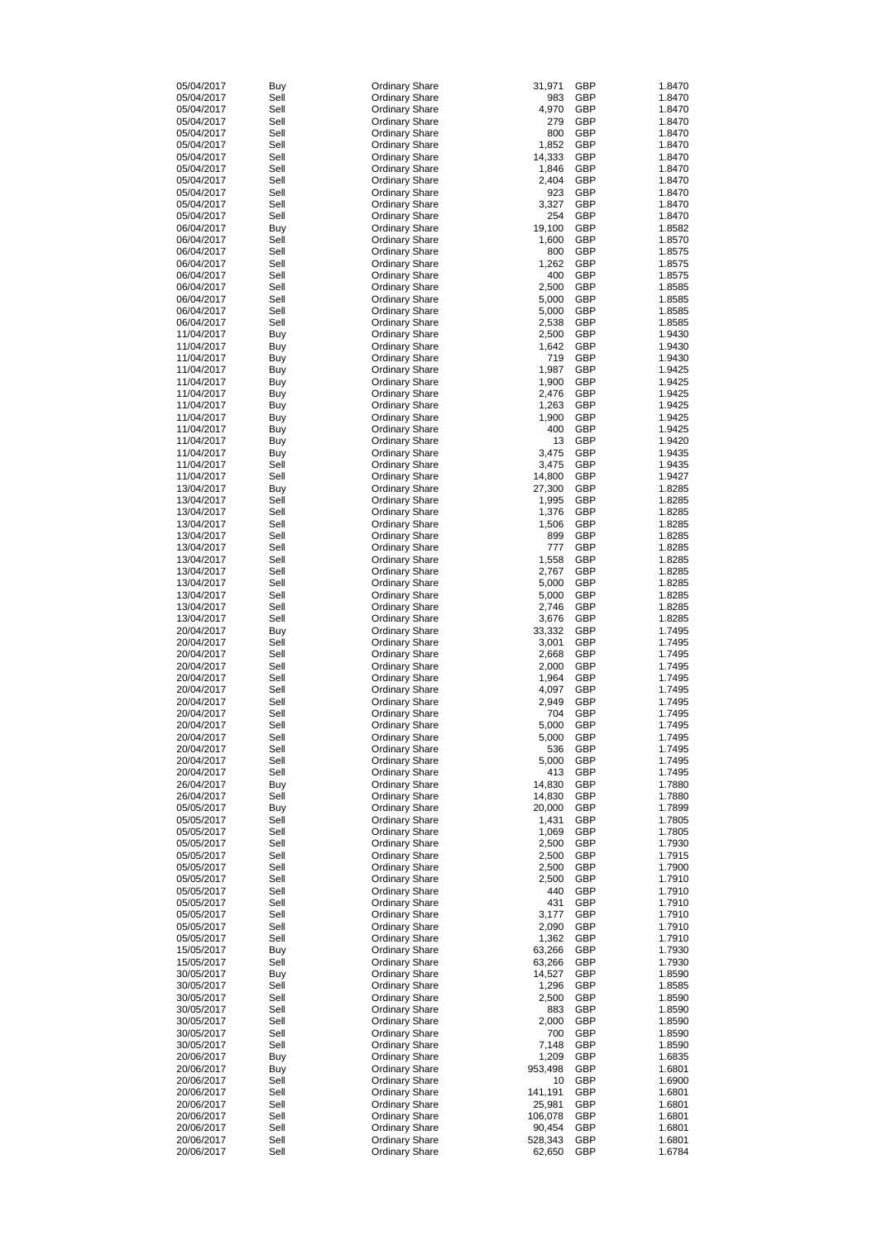| 05/04/2017 | Buy        | <b>Ordinary Share</b> | 31,971  | <b>GBP</b> | 1.8470 |
|------------|------------|-----------------------|---------|------------|--------|
| 05/04/2017 | Sell       | <b>Ordinary Share</b> | 983     | <b>GBP</b> | 1.8470 |
| 05/04/2017 | Sell       | <b>Ordinary Share</b> | 4,970   | <b>GBP</b> | 1.8470 |
| 05/04/2017 | Sell       | <b>Ordinary Share</b> | 279     | <b>GBP</b> | 1.8470 |
| 05/04/2017 | Sell       | <b>Ordinary Share</b> | 800     | <b>GBP</b> | 1.8470 |
|            | Sell       |                       |         | <b>GBP</b> |        |
| 05/04/2017 |            | <b>Ordinary Share</b> | 1,852   |            | 1.8470 |
| 05/04/2017 | Sell       | <b>Ordinary Share</b> | 14,333  | <b>GBP</b> | 1.8470 |
| 05/04/2017 | Sell       | <b>Ordinary Share</b> | 1,846   | <b>GBP</b> | 1.8470 |
| 05/04/2017 | Sell       | <b>Ordinary Share</b> | 2,404   | <b>GBP</b> | 1.8470 |
| 05/04/2017 | Sell       | <b>Ordinary Share</b> | 923     | <b>GBP</b> | 1.8470 |
| 05/04/2017 | Sell       | <b>Ordinary Share</b> | 3,327   | <b>GBP</b> | 1.8470 |
| 05/04/2017 | Sell       | <b>Ordinary Share</b> | 254     | <b>GBP</b> | 1.8470 |
| 06/04/2017 |            |                       | 19,100  | <b>GBP</b> | 1.8582 |
|            | <b>Buy</b> | <b>Ordinary Share</b> |         |            |        |
| 06/04/2017 | Sell       | <b>Ordinary Share</b> | 1,600   | <b>GBP</b> | 1.8570 |
| 06/04/2017 | Sell       | <b>Ordinary Share</b> | 800     | <b>GBP</b> | 1.8575 |
| 06/04/2017 | Sell       | <b>Ordinary Share</b> | 1,262   | <b>GBP</b> | 1.8575 |
| 06/04/2017 | Sell       | <b>Ordinary Share</b> | 400     | <b>GBP</b> | 1.8575 |
| 06/04/2017 | Sell       | <b>Ordinary Share</b> | 2,500   | <b>GBP</b> | 1.8585 |
| 06/04/2017 | Sell       | <b>Ordinary Share</b> | 5,000   | <b>GBP</b> | 1.8585 |
|            |            |                       |         |            |        |
| 06/04/2017 | Sell       | <b>Ordinary Share</b> | 5,000   | <b>GBP</b> | 1.8585 |
| 06/04/2017 | Sell       | <b>Ordinary Share</b> | 2,538   | <b>GBP</b> | 1.8585 |
| 11/04/2017 | <b>Buy</b> | <b>Ordinary Share</b> | 2,500   | <b>GBP</b> | 1.9430 |
| 11/04/2017 | <b>Buy</b> | <b>Ordinary Share</b> | 1,642   | <b>GBP</b> | 1.9430 |
| 11/04/2017 | <b>Buy</b> | <b>Ordinary Share</b> | 719     | <b>GBP</b> | 1.9430 |
| 11/04/2017 | <b>Buy</b> | <b>Ordinary Share</b> | 1,987   | <b>GBP</b> | 1.9425 |
| 11/04/2017 | <b>Buy</b> | <b>Ordinary Share</b> | 1,900   | <b>GBP</b> | 1.9425 |
|            |            |                       |         | <b>GBP</b> |        |
| 11/04/2017 | <b>Buy</b> | <b>Ordinary Share</b> | 2,476   |            | 1.9425 |
| 11/04/2017 | <b>Buy</b> | <b>Ordinary Share</b> | 1,263   | <b>GBP</b> | 1.9425 |
| 11/04/2017 | <b>Buy</b> | <b>Ordinary Share</b> | 1,900   | <b>GBP</b> | 1.9425 |
| 11/04/2017 | <b>Buy</b> | <b>Ordinary Share</b> | 400     | <b>GBP</b> | 1.9425 |
| 11/04/2017 | <b>Buy</b> | <b>Ordinary Share</b> | 13      | <b>GBP</b> | 1.9420 |
| 11/04/2017 | <b>Buy</b> | <b>Ordinary Share</b> | 3,475   | <b>GBP</b> | 1.9435 |
| 11/04/2017 | Sell       |                       | 3,475   | <b>GBP</b> | 1.9435 |
|            |            | <b>Ordinary Share</b> |         |            |        |
| 11/04/2017 | Sell       | <b>Ordinary Share</b> | 14,800  | <b>GBP</b> | 1.9427 |
| 13/04/2017 | Buy        | <b>Ordinary Share</b> | 27,300  | <b>GBP</b> | 1.8285 |
| 13/04/2017 | Sell       | <b>Ordinary Share</b> | 1,995   | <b>GBP</b> | 1.8285 |
| 13/04/2017 | Sell       | <b>Ordinary Share</b> | 1,376   | <b>GBP</b> | 1.8285 |
| 13/04/2017 | Sell       | <b>Ordinary Share</b> | 1,506   | <b>GBP</b> | 1.8285 |
| 13/04/2017 | Sell       | <b>Ordinary Share</b> | 899     | <b>GBP</b> | 1.8285 |
|            | Sell       |                       | 777     | <b>GBP</b> | 1.8285 |
| 13/04/2017 |            | <b>Ordinary Share</b> |         |            |        |
| 13/04/2017 | Sell       | <b>Ordinary Share</b> | 1,558   | <b>GBP</b> | 1.8285 |
| 13/04/2017 | Sell       | <b>Ordinary Share</b> | 2,767   | <b>GBP</b> | 1.8285 |
| 13/04/2017 | Sell       | <b>Ordinary Share</b> | 5,000   | <b>GBP</b> | 1.8285 |
| 13/04/2017 | Sell       | <b>Ordinary Share</b> | 5,000   | <b>GBP</b> | 1.8285 |
| 13/04/2017 | Sell       | <b>Ordinary Share</b> | 2,746   | <b>GBP</b> | 1.8285 |
| 13/04/2017 | Sell       | <b>Ordinary Share</b> | 3,676   | <b>GBP</b> | 1.8285 |
|            |            |                       |         |            |        |
| 20/04/2017 | Buy        | <b>Ordinary Share</b> | 33,332  | <b>GBP</b> | 1.7495 |
| 20/04/2017 | Sell       | <b>Ordinary Share</b> | 3,001   | <b>GBP</b> | 1.7495 |
| 20/04/2017 | Sell       | <b>Ordinary Share</b> | 2,668   | <b>GBP</b> | 1.7495 |
| 20/04/2017 | Sell       | <b>Ordinary Share</b> | 2,000   | <b>GBP</b> | 1.7495 |
| 20/04/2017 | Sell       | <b>Ordinary Share</b> | 1,964   | <b>GBP</b> | 1.7495 |
| 20/04/2017 | Sell       | <b>Ordinary Share</b> | 4,097   | <b>GBP</b> | 1.7495 |
| 20/04/2017 | Sell       | <b>Ordinary Share</b> | 2,949   | <b>GBP</b> | 1.7495 |
|            |            |                       |         |            |        |
| 20/04/2017 | Sell       | <b>Ordinary Share</b> | 704     | <b>GBP</b> | 1.7495 |
| 20/04/2017 | Sell       | <b>Ordinary Share</b> | 5,000   | <b>GBP</b> | 1.7495 |
| 20/04/2017 | Sell       | <b>Ordinary Share</b> | 5,000   | <b>GBP</b> | 1.7495 |
| 20/04/2017 | Sell       | <b>Ordinary Share</b> | 536     | <b>GBP</b> | 1.7495 |
| 20/04/2017 | Sell       | <b>Ordinary Share</b> | 5,000   | <b>GBP</b> | 1.7495 |
| 20/04/2017 | Sell       | <b>Ordinary Share</b> | 413     | <b>GBP</b> | 1.7495 |
| 26/04/2017 | Buy        | <b>Ordinary Share</b> | 14,830  | <b>GBP</b> | 1.7880 |
| 26/04/2017 | Sell       |                       | 14,830  | <b>GBP</b> | 1.7880 |
|            |            | <b>Ordinary Share</b> |         |            |        |
| 05/05/2017 | Buy        | <b>Ordinary Share</b> | 20,000  | <b>GBP</b> | 1.7899 |
| 05/05/2017 | Sell       | <b>Ordinary Share</b> | 1,431   | <b>GBP</b> | 1.7805 |
| 05/05/2017 | Sell       | <b>Ordinary Share</b> | 1,069   | <b>GBP</b> | 1.7805 |
| 05/05/2017 | Sell       | <b>Ordinary Share</b> | 2,500   | <b>GBP</b> | 1.7930 |
| 05/05/2017 | Sell       | <b>Ordinary Share</b> | 2,500   | <b>GBP</b> | 1.7915 |
| 05/05/2017 | Sell       | <b>Ordinary Share</b> | 2,500   | <b>GBP</b> | 1.7900 |
| 05/05/2017 | Sell       | <b>Ordinary Share</b> | 2,500   | <b>GBP</b> | 1.7910 |
| 05/05/2017 | Sell       | <b>Ordinary Share</b> | 440     | <b>GBP</b> | 1.7910 |
|            |            |                       |         |            |        |
| 05/05/2017 | Sell       | <b>Ordinary Share</b> | 431     | <b>GBP</b> | 1.7910 |
| 05/05/2017 | Sell       | <b>Ordinary Share</b> | 3,177   | <b>GBP</b> | 1.7910 |
| 05/05/2017 | Sell       | <b>Ordinary Share</b> | 2,090   | <b>GBP</b> | 1.7910 |
| 05/05/2017 | Sell       | <b>Ordinary Share</b> | 1,362   | <b>GBP</b> | 1.7910 |
| 15/05/2017 | Buy        | <b>Ordinary Share</b> | 63,266  | <b>GBP</b> | 1.7930 |
| 15/05/2017 | Sell       | <b>Ordinary Share</b> | 63,266  | <b>GBP</b> | 1.7930 |
| 30/05/2017 | Buy        | <b>Ordinary Share</b> | 14,527  | <b>GBP</b> | 1.8590 |
|            | Sell       |                       |         | <b>GBP</b> |        |
| 30/05/2017 |            | <b>Ordinary Share</b> | 1,296   |            | 1.8585 |
| 30/05/2017 | Sell       | <b>Ordinary Share</b> | 2,500   | <b>GBP</b> | 1.8590 |
| 30/05/2017 | Sell       | <b>Ordinary Share</b> | 883     | <b>GBP</b> | 1.8590 |
| 30/05/2017 | Sell       | <b>Ordinary Share</b> | 2,000   | <b>GBP</b> | 1.8590 |
| 30/05/2017 | Sell       | <b>Ordinary Share</b> | 700     | <b>GBP</b> | 1.8590 |
| 30/05/2017 | Sell       | <b>Ordinary Share</b> | 7,148   | <b>GBP</b> | 1.8590 |
| 20/06/2017 | <b>Buy</b> | <b>Ordinary Share</b> | 1,209   | <b>GBP</b> | 1.6835 |
| 20/06/2017 | <b>Buy</b> | <b>Ordinary Share</b> | 953,498 | <b>GBP</b> | 1.6801 |
|            |            |                       |         |            |        |
| 20/06/2017 | Sell       | <b>Ordinary Share</b> | 10      | <b>GBP</b> | 1.6900 |
| 20/06/2017 | Sell       | <b>Ordinary Share</b> | 141,191 | <b>GBP</b> | 1.6801 |
| 20/06/2017 | Sell       | <b>Ordinary Share</b> | 25,981  | <b>GBP</b> | 1.6801 |
| 20/06/2017 | Sell       | <b>Ordinary Share</b> | 106,078 | <b>GBP</b> | 1.6801 |
| 20/06/2017 | Sell       | <b>Ordinary Share</b> | 90,454  | <b>GBP</b> | 1.6801 |
| 20/06/2017 | Sell       | <b>Ordinary Share</b> | 528,343 | <b>GBP</b> | 1.6801 |
| 20/06/2017 | Sell       | <b>Ordinary Share</b> | 62,650  | <b>GBP</b> | 1.6784 |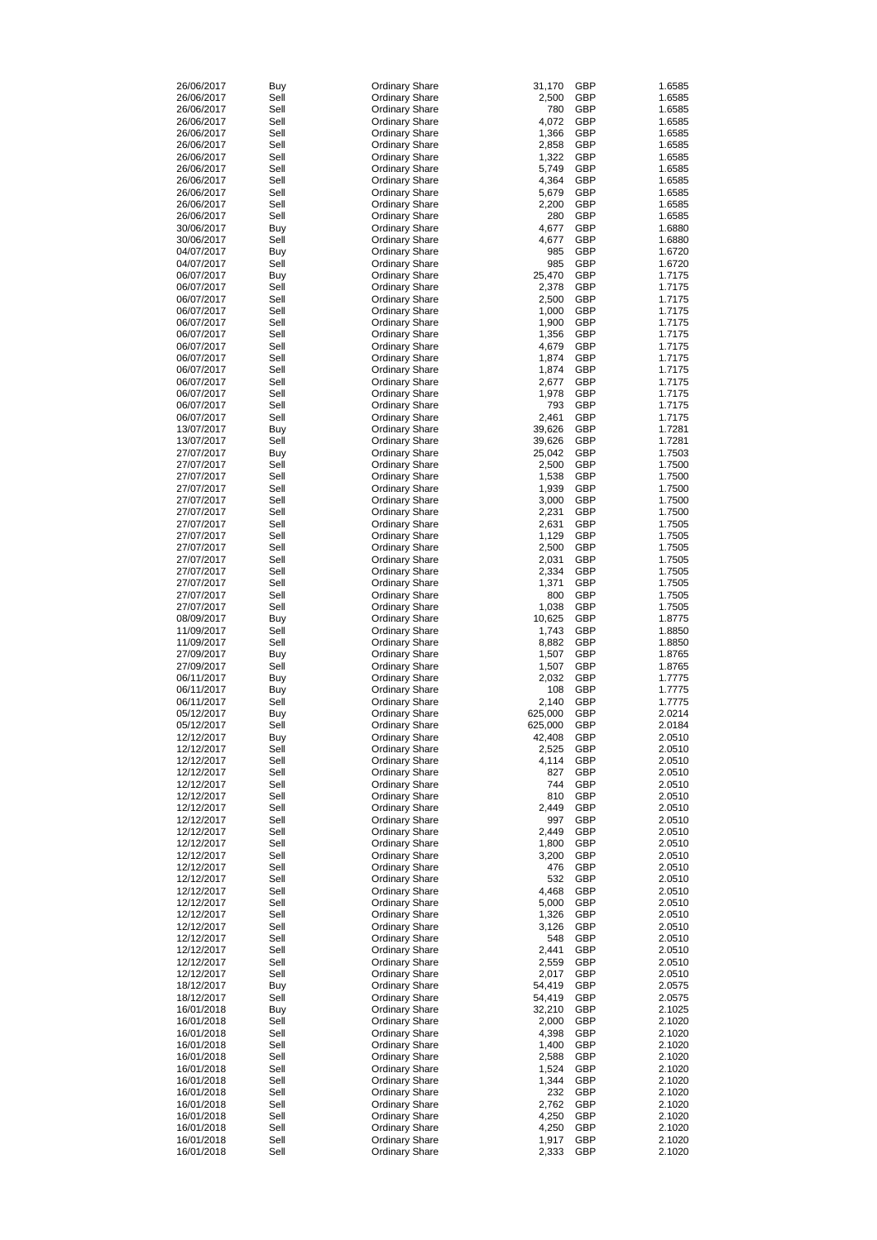| 26/06/2017 | Buy        | <b>Ordinary Share</b> | 31,170  | <b>GBP</b> | 1.6585 |
|------------|------------|-----------------------|---------|------------|--------|
| 26/06/2017 | Sell       | <b>Ordinary Share</b> | 2,500   | <b>GBP</b> | 1.6585 |
| 26/06/2017 | Sell       | <b>Ordinary Share</b> | 780     | <b>GBP</b> | 1.6585 |
| 26/06/2017 | Sell       | <b>Ordinary Share</b> | 4,072   | <b>GBP</b> | 1.6585 |
| 26/06/2017 | Sell       | <b>Ordinary Share</b> | 1,366   | <b>GBP</b> | 1.6585 |
| 26/06/2017 | Sell       | <b>Ordinary Share</b> | 2,858   | <b>GBP</b> | 1.6585 |
|            |            |                       |         | <b>GBP</b> |        |
| 26/06/2017 | Sell       | <b>Ordinary Share</b> | 1,322   |            | 1.6585 |
| 26/06/2017 | Sell       | <b>Ordinary Share</b> | 5,749   | <b>GBP</b> | 1.6585 |
| 26/06/2017 | Sell       | <b>Ordinary Share</b> | 4,364   | <b>GBP</b> | 1.6585 |
| 26/06/2017 | Sell       | <b>Ordinary Share</b> | 5,679   | <b>GBP</b> | 1.6585 |
| 26/06/2017 | Sell       | <b>Ordinary Share</b> | 2,200   | <b>GBP</b> | 1.6585 |
| 26/06/2017 | Sell       | <b>Ordinary Share</b> | 280     | <b>GBP</b> | 1.6585 |
| 30/06/2017 | <b>Buy</b> | <b>Ordinary Share</b> | 4,677   | <b>GBP</b> | 1.6880 |
| 30/06/2017 | Sell       | <b>Ordinary Share</b> | 4,677   | <b>GBP</b> | 1.6880 |
|            |            |                       | 985     | <b>GBP</b> | 1.6720 |
| 04/07/2017 | <b>Buy</b> | <b>Ordinary Share</b> |         |            |        |
| 04/07/2017 | Sell       | <b>Ordinary Share</b> | 985     | <b>GBP</b> | 1.6720 |
| 06/07/2017 | <b>Buy</b> | <b>Ordinary Share</b> | 25,470  | <b>GBP</b> | 1.7175 |
| 06/07/2017 | Sell       | <b>Ordinary Share</b> | 2,378   | <b>GBP</b> | 1.7175 |
| 06/07/2017 | Sell       | <b>Ordinary Share</b> | 2,500   | <b>GBP</b> | 1.7175 |
| 06/07/2017 | Sell       | <b>Ordinary Share</b> | 1,000   | <b>GBP</b> | 1.7175 |
| 06/07/2017 | Sell       | <b>Ordinary Share</b> | 1,900   | <b>GBP</b> | 1.7175 |
| 06/07/2017 | Sell       | <b>Ordinary Share</b> | 1,356   | <b>GBP</b> | 1.7175 |
| 06/07/2017 | Sell       | <b>Ordinary Share</b> | 4,679   | <b>GBP</b> | 1.7175 |
|            | Sell       |                       |         | <b>GBP</b> | 1.7175 |
| 06/07/2017 |            | <b>Ordinary Share</b> | 1,874   |            |        |
| 06/07/2017 | Sell       | <b>Ordinary Share</b> | 1,874   | <b>GBP</b> | 1.7175 |
| 06/07/2017 | Sell       | <b>Ordinary Share</b> | 2,677   | <b>GBP</b> | 1.7175 |
| 06/07/2017 | Sell       | <b>Ordinary Share</b> | 1,978   | <b>GBP</b> | 1.7175 |
| 06/07/2017 | Sell       | <b>Ordinary Share</b> | 793     | <b>GBP</b> | 1.7175 |
| 06/07/2017 | Sell       | <b>Ordinary Share</b> | 2,461   | <b>GBP</b> | 1.7175 |
| 13/07/2017 | Buy        | <b>Ordinary Share</b> | 39,626  | <b>GBP</b> | 1.7281 |
| 13/07/2017 | Sell       | <b>Ordinary Share</b> | 39,626  | <b>GBP</b> | 1.7281 |
| 27/07/2017 |            |                       | 25,042  | <b>GBP</b> | 1.7503 |
|            | Buy        | <b>Ordinary Share</b> |         |            |        |
| 27/07/2017 | Sell       | <b>Ordinary Share</b> | 2,500   | <b>GBP</b> | 1.7500 |
| 27/07/2017 | Sell       | <b>Ordinary Share</b> | 1,538   | <b>GBP</b> | 1.7500 |
| 27/07/2017 | Sell       | <b>Ordinary Share</b> | 1,939   | <b>GBP</b> | 1.7500 |
| 27/07/2017 | Sell       | <b>Ordinary Share</b> | 3,000   | <b>GBP</b> | 1.7500 |
| 27/07/2017 | Sell       | <b>Ordinary Share</b> | 2,231   | <b>GBP</b> | 1.7500 |
| 27/07/2017 | Sell       | <b>Ordinary Share</b> | 2,631   | <b>GBP</b> | 1.7505 |
| 27/07/2017 | Sell       | <b>Ordinary Share</b> | 1,129   | <b>GBP</b> | 1.7505 |
| 27/07/2017 | Sell       | <b>Ordinary Share</b> | 2,500   | <b>GBP</b> | 1.7505 |
|            |            |                       |         |            |        |
| 27/07/2017 | Sell       | <b>Ordinary Share</b> | 2,031   | <b>GBP</b> | 1.7505 |
| 27/07/2017 | Sell       | <b>Ordinary Share</b> | 2,334   | <b>GBP</b> | 1.7505 |
| 27/07/2017 | Sell       | <b>Ordinary Share</b> | 1,371   | <b>GBP</b> | 1.7505 |
| 27/07/2017 | Sell       | <b>Ordinary Share</b> | 800     | <b>GBP</b> | 1.7505 |
| 27/07/2017 | Sell       | <b>Ordinary Share</b> | 1,038   | <b>GBP</b> | 1.7505 |
| 08/09/2017 | Buy        | <b>Ordinary Share</b> | 10,625  | <b>GBP</b> | 1.8775 |
| 11/09/2017 | Sell       | <b>Ordinary Share</b> | 1,743   | <b>GBP</b> | 1.8850 |
| 11/09/2017 | Sell       | <b>Ordinary Share</b> | 8,882   | <b>GBP</b> | 1.8850 |
|            |            |                       |         |            |        |
| 27/09/2017 | Buy        | <b>Ordinary Share</b> | 1,507   | <b>GBP</b> | 1.8765 |
| 27/09/2017 | Sell       | <b>Ordinary Share</b> | 1,507   | <b>GBP</b> | 1.8765 |
| 06/11/2017 | Buy        | <b>Ordinary Share</b> | 2,032   | <b>GBP</b> | 1.7775 |
| 06/11/2017 | Buy        | <b>Ordinary Share</b> | 108     | <b>GBP</b> | 1.7775 |
| 06/11/2017 | Sell       | <b>Ordinary Share</b> | 2,140   | <b>GBP</b> | 1.7775 |
| 05/12/2017 | Buy        | <b>Ordinary Share</b> | 625,000 | <b>GBP</b> | 2.0214 |
| 05/12/2017 | Sell       | <b>Ordinary Share</b> | 625,000 | <b>GBP</b> | 2.0184 |
| 12/12/2017 | Buy        | <b>Ordinary Share</b> | 42,408  | <b>GBP</b> | 2.0510 |
|            | Sell       |                       |         | <b>GBP</b> |        |
| 12/12/2017 |            | <b>Ordinary Share</b> | 2,525   |            | 2.0510 |
| 12/12/2017 | Sell       | <b>Ordinary Share</b> | 4,114   | <b>GBP</b> | 2.0510 |
| 12/12/2017 | Sell       | <b>Ordinary Share</b> | 827     | <b>GBP</b> | 2.0510 |
| 12/12/2017 | Sell       | <b>Ordinary Share</b> | 744     | <b>GBP</b> | 2.0510 |
| 12/12/2017 | Sell       | <b>Ordinary Share</b> | 810     | <b>GBP</b> | 2.0510 |
| 12/12/2017 | Sell       | <b>Ordinary Share</b> | 2,449   | <b>GBP</b> | 2.0510 |
| 12/12/2017 | Sell       | <b>Ordinary Share</b> | 997     | <b>GBP</b> | 2.0510 |
| 12/12/2017 | Sell       | <b>Ordinary Share</b> | 2,449   | <b>GBP</b> | 2.0510 |
| 12/12/2017 | Sell       | <b>Ordinary Share</b> | 1,800   | <b>GBP</b> | 2.0510 |
| 12/12/2017 | Sell       |                       |         | <b>GBP</b> | 2.0510 |
|            |            | <b>Ordinary Share</b> | 3,200   |            |        |
| 12/12/2017 | Sell       | <b>Ordinary Share</b> | 476     | <b>GBP</b> | 2.0510 |
| 12/12/2017 | Sell       | <b>Ordinary Share</b> | 532     | <b>GBP</b> | 2.0510 |
| 12/12/2017 | Sell       | <b>Ordinary Share</b> | 4,468   | <b>GBP</b> | 2.0510 |
| 12/12/2017 | Sell       | <b>Ordinary Share</b> | 5,000   | <b>GBP</b> | 2.0510 |
| 12/12/2017 | Sell       | <b>Ordinary Share</b> | 1,326   | <b>GBP</b> | 2.0510 |
| 12/12/2017 | Sell       | <b>Ordinary Share</b> | 3,126   | <b>GBP</b> | 2.0510 |
| 12/12/2017 | Sell       | <b>Ordinary Share</b> | 548     | <b>GBP</b> | 2.0510 |
| 12/12/2017 | Sell       | <b>Ordinary Share</b> | 2,441   | <b>GBP</b> | 2.0510 |
|            |            |                       |         |            |        |
| 12/12/2017 | Sell       | <b>Ordinary Share</b> | 2,559   | <b>GBP</b> | 2.0510 |
| 12/12/2017 | Sell       | <b>Ordinary Share</b> | 2,017   | GBP        | 2.0510 |
| 18/12/2017 | <b>Buy</b> | <b>Ordinary Share</b> | 54,419  | <b>GBP</b> | 2.0575 |
| 18/12/2017 | Sell       | <b>Ordinary Share</b> | 54,419  | <b>GBP</b> | 2.0575 |
| 16/01/2018 | <b>Buy</b> | <b>Ordinary Share</b> | 32,210  | <b>GBP</b> | 2.1025 |
| 16/01/2018 | Sell       | <b>Ordinary Share</b> | 2,000   | <b>GBP</b> | 2.1020 |
| 16/01/2018 | Sell       | <b>Ordinary Share</b> | 4,398   | <b>GBP</b> | 2.1020 |
| 16/01/2018 | Sell       | <b>Ordinary Share</b> | 1,400   | <b>GBP</b> | 2.1020 |
| 16/01/2018 | Sell       | <b>Ordinary Share</b> | 2,588   | <b>GBP</b> | 2.1020 |
|            |            |                       |         |            |        |
| 16/01/2018 | Sell       | <b>Ordinary Share</b> | 1,524   | <b>GBP</b> | 2.1020 |
| 16/01/2018 | Sell       | <b>Ordinary Share</b> | 1,344   | <b>GBP</b> | 2.1020 |
| 16/01/2018 | Sell       | <b>Ordinary Share</b> | 232     | <b>GBP</b> | 2.1020 |
| 16/01/2018 | Sell       | <b>Ordinary Share</b> | 2,762   | <b>GBP</b> | 2.1020 |
| 16/01/2018 | Sell       | <b>Ordinary Share</b> | 4,250   | <b>GBP</b> | 2.1020 |
| 16/01/2018 | Sell       | <b>Ordinary Share</b> | 4,250   | <b>GBP</b> | 2.1020 |
| 16/01/2018 | Sell       | <b>Ordinary Share</b> | 1,917   | <b>GBP</b> | 2.1020 |
| 16/01/2018 | Sell       | <b>Ordinary Share</b> | 2,333   | <b>GBP</b> | 2.1020 |
|            |            |                       |         |            |        |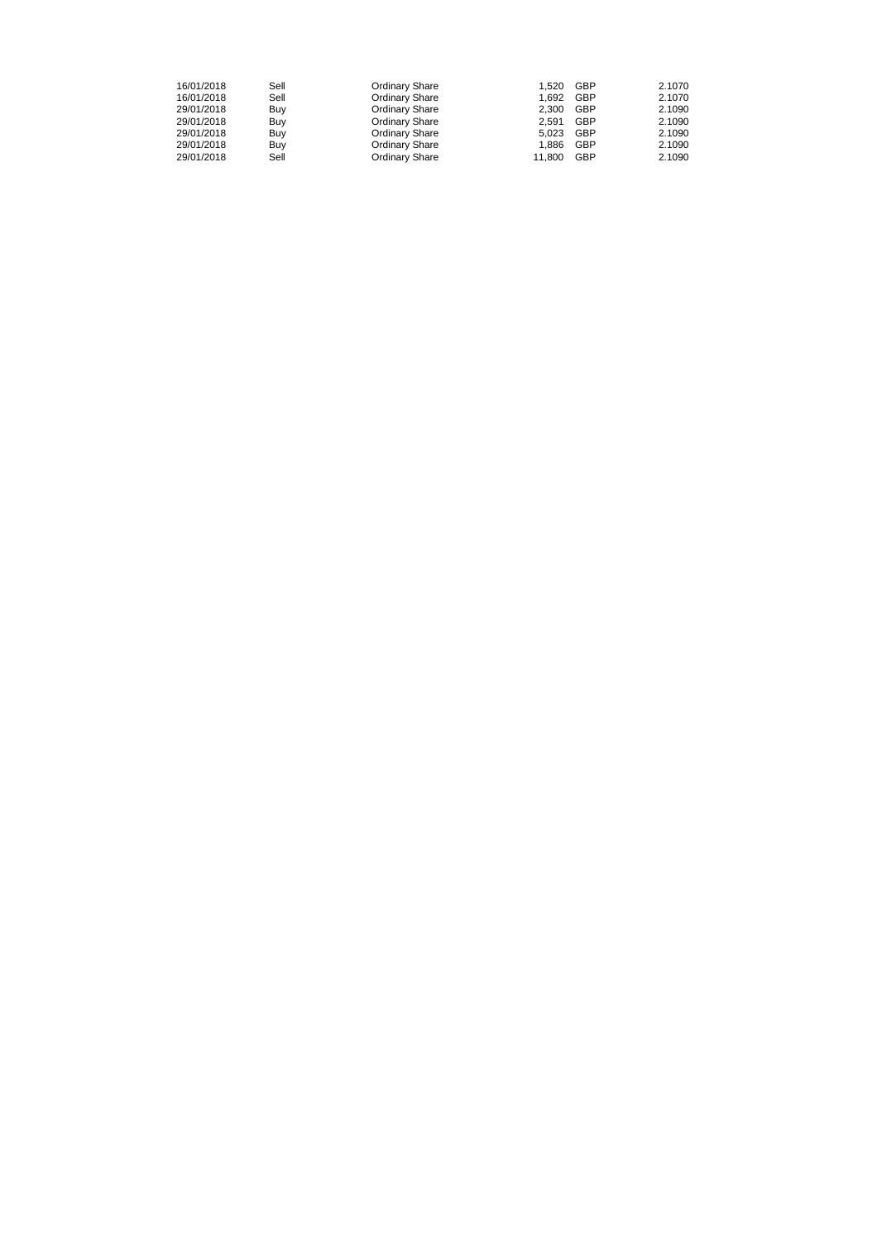| 16/01/2018 | Sell | <b>Ordinary Share</b> | 1.520  | <b>GBP</b> | 2.1070 |
|------------|------|-----------------------|--------|------------|--------|
| 16/01/2018 | Sell | <b>Ordinary Share</b> | 1.692  | <b>GBP</b> | 2.1070 |
| 29/01/2018 | Buy  | <b>Ordinary Share</b> | 2.300  | <b>GBP</b> | 2.1090 |
| 29/01/2018 | Buy  | <b>Ordinary Share</b> | 2.591  | <b>GBP</b> | 2.1090 |
| 29/01/2018 | Buy  | <b>Ordinary Share</b> | 5.023  | <b>GBP</b> | 2.1090 |
| 29/01/2018 | Buy  | <b>Ordinary Share</b> | 1.886  | <b>GBP</b> | 2.1090 |
| 29/01/2018 | Sell | <b>Ordinary Share</b> | 11.800 | <b>GBP</b> | 2.1090 |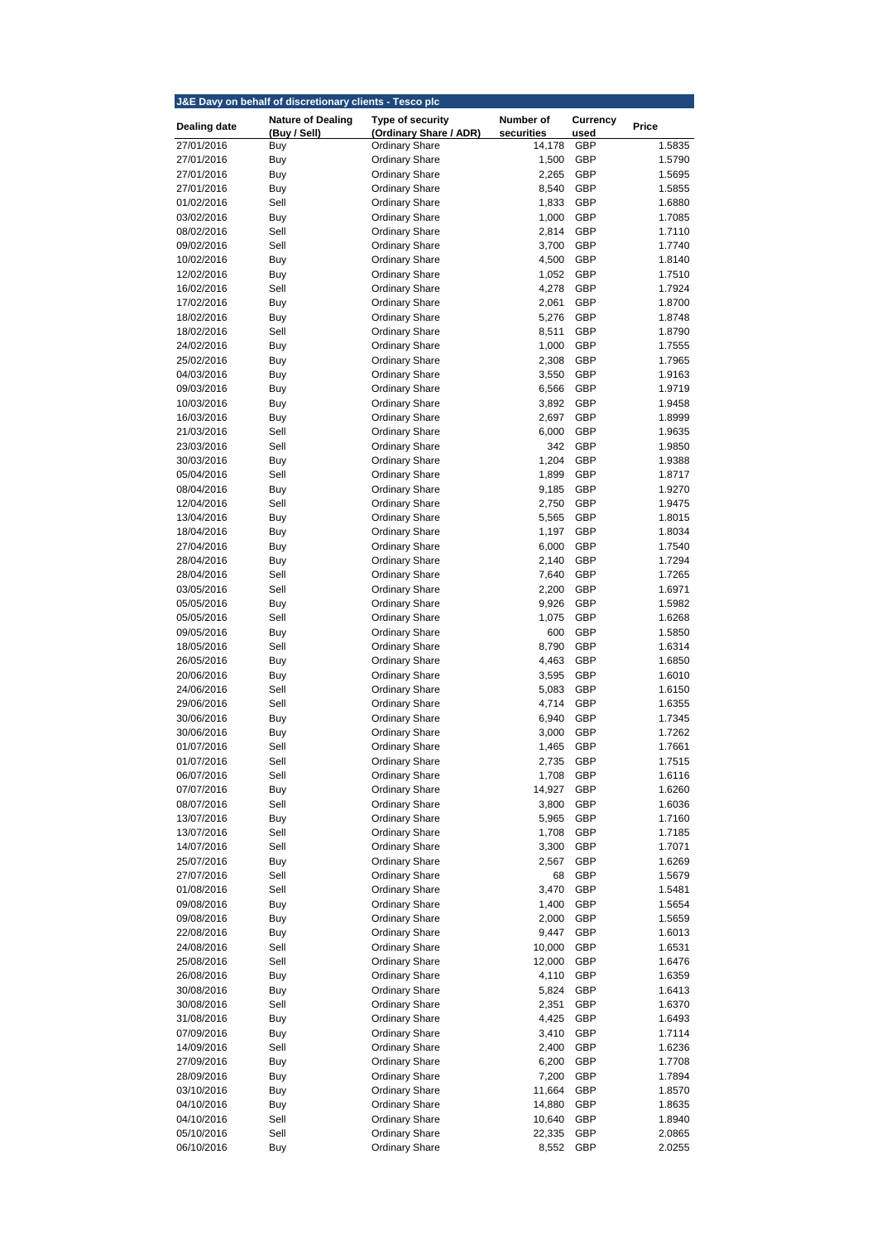| J&E Davy on behalf of discretionary clients - Tesco plc |                          |                                                |                  |                          |                  |  |
|---------------------------------------------------------|--------------------------|------------------------------------------------|------------------|--------------------------|------------------|--|
| <b>Dealing date</b>                                     | <b>Nature of Dealing</b> | <b>Type of security</b>                        | <b>Number of</b> | <b>Currency</b>          | <b>Price</b>     |  |
|                                                         | (Buy / Sell)             | (Ordinary Share / ADR)                         | securities       | used                     |                  |  |
| 27/01/2016<br>27/01/2016                                | Buy                      | <b>Ordinary Share</b>                          | 14,178<br>1,500  | <b>GBP</b><br><b>GBP</b> | 1.5835<br>1.5790 |  |
| 27/01/2016                                              | Buy<br>Buy               | <b>Ordinary Share</b><br><b>Ordinary Share</b> | 2,265            | <b>GBP</b>               | 1.5695           |  |
| 27/01/2016                                              | <b>Buy</b>               | <b>Ordinary Share</b>                          | 8,540            | <b>GBP</b>               | 1.5855           |  |
| 01/02/2016                                              | Sell                     | <b>Ordinary Share</b>                          | 1,833            | <b>GBP</b>               | 1.6880           |  |
| 03/02/2016                                              | <b>Buy</b>               | <b>Ordinary Share</b>                          | 1,000            | <b>GBP</b>               | 1.7085           |  |
| 08/02/2016                                              | Sell                     | <b>Ordinary Share</b>                          | 2,814            | <b>GBP</b>               | 1.7110           |  |
| 09/02/2016                                              | Sell                     | <b>Ordinary Share</b>                          | 3,700            | <b>GBP</b>               | 1.7740           |  |
| 10/02/2016                                              | <b>Buy</b>               | <b>Ordinary Share</b>                          | 4,500            | <b>GBP</b>               | 1.8140           |  |
| 12/02/2016                                              | <b>Buy</b>               | <b>Ordinary Share</b>                          | 1,052            | <b>GBP</b>               | 1.7510           |  |
| 16/02/2016                                              | Sell                     | <b>Ordinary Share</b>                          | 4,278            | <b>GBP</b>               | 1.7924           |  |
| 17/02/2016                                              | Buy                      | <b>Ordinary Share</b>                          | 2,061            | <b>GBP</b>               | 1.8700           |  |
| 18/02/2016<br>18/02/2016                                | Buy<br>Sell              | <b>Ordinary Share</b><br><b>Ordinary Share</b> | 5,276<br>8,511   | <b>GBP</b><br><b>GBP</b> | 1.8748<br>1.8790 |  |
| 24/02/2016                                              | <b>Buy</b>               | <b>Ordinary Share</b>                          | 1,000            | <b>GBP</b>               | 1.7555           |  |
| 25/02/2016                                              | Buy                      | <b>Ordinary Share</b>                          | 2,308            | <b>GBP</b>               | 1.7965           |  |
| 04/03/2016                                              | <b>Buy</b>               | <b>Ordinary Share</b>                          | 3,550            | <b>GBP</b>               | 1.9163           |  |
| 09/03/2016                                              | Buy                      | <b>Ordinary Share</b>                          | 6,566            | <b>GBP</b>               | 1.9719           |  |
| 10/03/2016                                              | <b>Buy</b>               | <b>Ordinary Share</b>                          | 3,892            | <b>GBP</b>               | 1.9458           |  |
| 16/03/2016                                              | Buy                      | <b>Ordinary Share</b>                          | 2,697            | <b>GBP</b>               | 1.8999           |  |
| 21/03/2016                                              | Sell                     | <b>Ordinary Share</b>                          | 6,000            | <b>GBP</b>               | 1.9635           |  |
| 23/03/2016                                              | Sell                     | <b>Ordinary Share</b>                          | 342              | <b>GBP</b>               | 1.9850           |  |
| 30/03/2016                                              | Buy                      | <b>Ordinary Share</b>                          | 1,204            | <b>GBP</b>               | 1.9388           |  |
| 05/04/2016                                              | Sell                     | <b>Ordinary Share</b>                          | 1,899            | <b>GBP</b>               | 1.8717           |  |
| 08/04/2016                                              | Buy                      | <b>Ordinary Share</b>                          | 9,185            | <b>GBP</b>               | 1.9270           |  |
| 12/04/2016<br>13/04/2016                                | Sell<br>Buy              | <b>Ordinary Share</b><br><b>Ordinary Share</b> | 2,750<br>5,565   | <b>GBP</b><br><b>GBP</b> | 1.9475<br>1.8015 |  |
| 18/04/2016                                              | Buy                      | <b>Ordinary Share</b>                          | 1,197            | <b>GBP</b>               | 1.8034           |  |
| 27/04/2016                                              | Buy                      | <b>Ordinary Share</b>                          | 6,000            | GBP                      | 1.7540           |  |
| 28/04/2016                                              | <b>Buy</b>               | <b>Ordinary Share</b>                          | 2,140            | <b>GBP</b>               | 1.7294           |  |
| 28/04/2016                                              | Sell                     | <b>Ordinary Share</b>                          | 7,640            | <b>GBP</b>               | 1.7265           |  |
| 03/05/2016                                              | Sell                     | <b>Ordinary Share</b>                          | 2,200            | <b>GBP</b>               | 1.6971           |  |
| 05/05/2016                                              | <b>Buy</b>               | <b>Ordinary Share</b>                          | 9,926            | <b>GBP</b>               | 1.5982           |  |
| 05/05/2016                                              | Sell                     | <b>Ordinary Share</b>                          | 1,075            | <b>GBP</b>               | 1.6268           |  |
| 09/05/2016                                              | Buy                      | <b>Ordinary Share</b>                          | 600              | <b>GBP</b>               | 1.5850           |  |
| 18/05/2016                                              | Sell                     | <b>Ordinary Share</b>                          | 8,790            | <b>GBP</b>               | 1.6314           |  |
| 26/05/2016                                              | <b>Buy</b>               | <b>Ordinary Share</b>                          | 4,463            | <b>GBP</b>               | 1.6850           |  |
| 20/06/2016<br>24/06/2016                                | <b>Buy</b><br>Sell       | <b>Ordinary Share</b><br><b>Ordinary Share</b> | 3,595<br>5,083   | <b>GBP</b><br><b>GBP</b> | 1.6010<br>1.6150 |  |
| 29/06/2016                                              | Sell                     | <b>Ordinary Share</b>                          | 4,714            | <b>GBP</b>               | 1.6355           |  |
| 30/06/2016                                              | Buy                      | <b>Ordinary Share</b>                          | 6,940            | <b>GBP</b>               | 1.7345           |  |
| 30/06/2016                                              | <b>Buy</b>               | <b>Ordinary Share</b>                          | 3,000            | <b>GBP</b>               | 1.7262           |  |
| 01/07/2016                                              | Sell                     | <b>Ordinary Share</b>                          | 1,465            | <b>GBP</b>               | 1.7661           |  |
| 01/07/2016                                              | Sell                     | <b>Ordinary Share</b>                          | 2,735            | <b>GBP</b>               | 1.7515           |  |
| 06/07/2016                                              | Sell                     | <b>Ordinary Share</b>                          | 1,708            | <b>GBP</b>               | 1.6116           |  |
| 07/07/2016                                              | Buy                      | <b>Ordinary Share</b>                          | 14,927           | <b>GBP</b>               | 1.6260           |  |
| 08/07/2016                                              | Sell                     | <b>Ordinary Share</b>                          | 3,800            | <b>GBP</b>               | 1.6036           |  |
| 13/07/2016                                              | <b>Buy</b>               | <b>Ordinary Share</b>                          | 5,965            | <b>GBP</b>               | 1.7160           |  |
| 13/07/2016                                              | Sell                     | <b>Ordinary Share</b>                          | 1,708            | <b>GBP</b>               | 1.7185           |  |
| 14/07/2016<br>25/07/2016                                | Sell                     | <b>Ordinary Share</b><br><b>Ordinary Share</b> | 3,300<br>2,567   | <b>GBP</b><br><b>GBP</b> | 1.7071<br>1.6269 |  |
| 27/07/2016                                              | Buy<br>Sell              | <b>Ordinary Share</b>                          | 68               | <b>GBP</b>               | 1.5679           |  |
| 01/08/2016                                              | Sell                     | <b>Ordinary Share</b>                          | 3,470            | <b>GBP</b>               | 1.5481           |  |
| 09/08/2016                                              | Buy                      | <b>Ordinary Share</b>                          | 1,400            | <b>GBP</b>               | 1.5654           |  |
| 09/08/2016                                              | Buy                      | <b>Ordinary Share</b>                          | 2,000            | <b>GBP</b>               | 1.5659           |  |
| 22/08/2016                                              | <b>Buy</b>               | <b>Ordinary Share</b>                          | 9,447            | <b>GBP</b>               | 1.6013           |  |
| 24/08/2016                                              | Sell                     | <b>Ordinary Share</b>                          | 10,000           | <b>GBP</b>               | 1.6531           |  |
| 25/08/2016                                              | Sell                     | <b>Ordinary Share</b>                          | 12,000           | <b>GBP</b>               | 1.6476           |  |
| 26/08/2016                                              | <b>Buy</b>               | <b>Ordinary Share</b>                          | 4,110            | <b>GBP</b>               | 1.6359           |  |
| 30/08/2016                                              | Buy                      | <b>Ordinary Share</b>                          | 5,824            | <b>GBP</b>               | 1.6413           |  |
| 30/08/2016                                              | Sell                     | <b>Ordinary Share</b>                          | 2,351            | <b>GBP</b>               | 1.6370           |  |
| 31/08/2016                                              | <b>Buy</b>               | <b>Ordinary Share</b>                          | 4,425            | <b>GBP</b>               | 1.6493           |  |
| 07/09/2016                                              | <b>Buy</b>               | <b>Ordinary Share</b>                          | 3,410            | <b>GBP</b>               | 1.7114           |  |
| 14/09/2016<br>27/09/2016                                | Sell<br><b>Buy</b>       | <b>Ordinary Share</b><br><b>Ordinary Share</b> | 2,400<br>6,200   | <b>GBP</b><br><b>GBP</b> | 1.6236<br>1.7708 |  |
| 28/09/2016                                              | <b>Buy</b>               | <b>Ordinary Share</b>                          | 7,200            | <b>GBP</b>               | 1.7894           |  |
| 03/10/2016                                              | <b>Buy</b>               | <b>Ordinary Share</b>                          | 11,664           | <b>GBP</b>               | 1.8570           |  |
| 04/10/2016                                              | <b>Buy</b>               | <b>Ordinary Share</b>                          | 14,880           | <b>GBP</b>               | 1.8635           |  |
| 04/10/2016                                              | Sell                     | <b>Ordinary Share</b>                          | 10,640           | <b>GBP</b>               | 1.8940           |  |
| 05/10/2016                                              | Sell                     | <b>Ordinary Share</b>                          | 22,335           | <b>GBP</b>               | 2.0865           |  |
| 06/10/2016                                              | <b>Buy</b>               | <b>Ordinary Share</b>                          | 8,552            | <b>GBP</b>               | 2.0255           |  |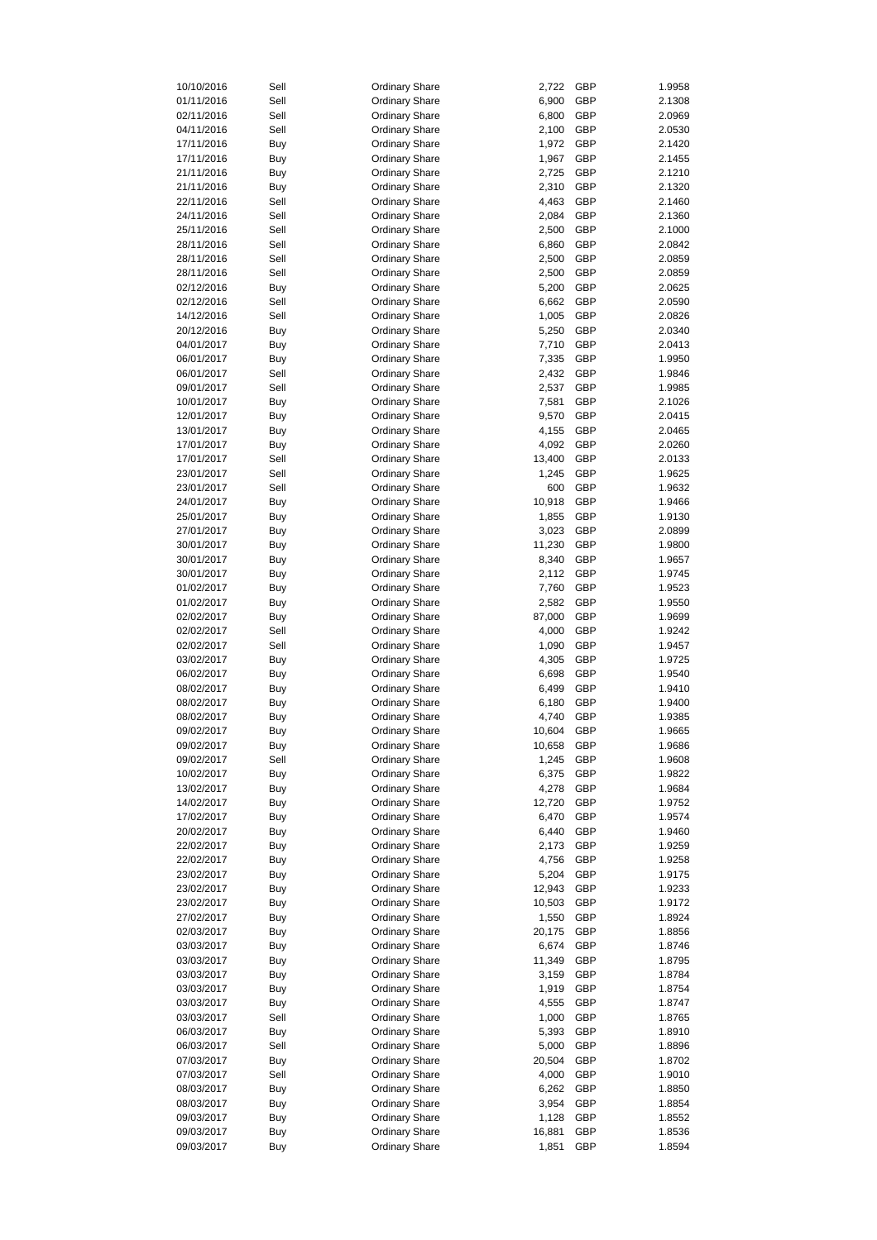| 10/10/2016 | Sell       | <b>Ordinary Share</b> | 2,722  | <b>GBP</b> | 1.9958 |
|------------|------------|-----------------------|--------|------------|--------|
| 01/11/2016 | Sell       | <b>Ordinary Share</b> | 6,900  | <b>GBP</b> | 2.1308 |
| 02/11/2016 | Sell       | <b>Ordinary Share</b> | 6,800  | <b>GBP</b> | 2.0969 |
| 04/11/2016 | Sell       | <b>Ordinary Share</b> | 2,100  | <b>GBP</b> | 2.0530 |
| 17/11/2016 | Buy        | <b>Ordinary Share</b> | 1,972  | <b>GBP</b> | 2.1420 |
| 17/11/2016 | <b>Buy</b> | <b>Ordinary Share</b> | 1,967  | <b>GBP</b> | 2.1455 |
| 21/11/2016 | <b>Buy</b> | <b>Ordinary Share</b> | 2,725  | <b>GBP</b> | 2.1210 |
| 21/11/2016 | <b>Buy</b> | <b>Ordinary Share</b> | 2,310  | <b>GBP</b> | 2.1320 |
|            |            |                       |        |            |        |
| 22/11/2016 | Sell       | <b>Ordinary Share</b> | 4,463  | <b>GBP</b> | 2.1460 |
| 24/11/2016 | Sell       | <b>Ordinary Share</b> | 2,084  | <b>GBP</b> | 2.1360 |
| 25/11/2016 | Sell       | <b>Ordinary Share</b> | 2,500  | <b>GBP</b> | 2.1000 |
| 28/11/2016 | Sell       | <b>Ordinary Share</b> | 6,860  | <b>GBP</b> | 2.0842 |
| 28/11/2016 | Sell       | <b>Ordinary Share</b> | 2,500  | <b>GBP</b> | 2.0859 |
| 28/11/2016 | Sell       | <b>Ordinary Share</b> | 2,500  | <b>GBP</b> | 2.0859 |
| 02/12/2016 | Buy        | <b>Ordinary Share</b> | 5,200  | <b>GBP</b> | 2.0625 |
| 02/12/2016 | Sell       | <b>Ordinary Share</b> | 6,662  | <b>GBP</b> | 2.0590 |
|            |            |                       |        |            |        |
| 14/12/2016 | Sell       | <b>Ordinary Share</b> | 1,005  | <b>GBP</b> | 2.0826 |
| 20/12/2016 | Buy        | <b>Ordinary Share</b> | 5,250  | <b>GBP</b> | 2.0340 |
| 04/01/2017 | <b>Buy</b> | <b>Ordinary Share</b> | 7,710  | <b>GBP</b> | 2.0413 |
| 06/01/2017 | <b>Buy</b> | <b>Ordinary Share</b> | 7,335  | <b>GBP</b> | 1.9950 |
| 06/01/2017 | Sell       | <b>Ordinary Share</b> | 2,432  | <b>GBP</b> | 1.9846 |
| 09/01/2017 | Sell       | <b>Ordinary Share</b> | 2,537  | <b>GBP</b> | 1.9985 |
| 10/01/2017 | <b>Buy</b> | <b>Ordinary Share</b> | 7,581  | <b>GBP</b> | 2.1026 |
| 12/01/2017 | Buy        | <b>Ordinary Share</b> | 9,570  | <b>GBP</b> | 2.0415 |
|            |            |                       |        |            |        |
| 13/01/2017 | <b>Buy</b> | <b>Ordinary Share</b> | 4,155  | <b>GBP</b> | 2.0465 |
| 17/01/2017 | <b>Buy</b> | <b>Ordinary Share</b> | 4,092  | <b>GBP</b> | 2.0260 |
| 17/01/2017 | Sell       | <b>Ordinary Share</b> | 13,400 | <b>GBP</b> | 2.0133 |
| 23/01/2017 | Sell       | <b>Ordinary Share</b> | 1,245  | <b>GBP</b> | 1.9625 |
| 23/01/2017 | Sell       | <b>Ordinary Share</b> | 600    | <b>GBP</b> | 1.9632 |
| 24/01/2017 | Buy        | <b>Ordinary Share</b> | 10,918 | <b>GBP</b> | 1.9466 |
| 25/01/2017 | Buy        | <b>Ordinary Share</b> | 1,855  | <b>GBP</b> | 1.9130 |
| 27/01/2017 | <b>Buy</b> |                       | 3,023  | <b>GBP</b> | 2.0899 |
|            |            | <b>Ordinary Share</b> |        |            |        |
| 30/01/2017 | <b>Buy</b> | <b>Ordinary Share</b> | 11,230 | <b>GBP</b> | 1.9800 |
| 30/01/2017 | <b>Buy</b> | <b>Ordinary Share</b> | 8,340  | <b>GBP</b> | 1.9657 |
| 30/01/2017 | <b>Buy</b> | <b>Ordinary Share</b> | 2,112  | <b>GBP</b> | 1.9745 |
| 01/02/2017 | <b>Buy</b> | <b>Ordinary Share</b> | 7,760  | <b>GBP</b> | 1.9523 |
| 01/02/2017 | <b>Buy</b> | <b>Ordinary Share</b> | 2,582  | <b>GBP</b> | 1.9550 |
| 02/02/2017 | <b>Buy</b> | <b>Ordinary Share</b> | 87,000 | <b>GBP</b> | 1.9699 |
| 02/02/2017 | Sell       | <b>Ordinary Share</b> | 4,000  | <b>GBP</b> | 1.9242 |
|            |            |                       |        |            |        |
| 02/02/2017 | Sell       | <b>Ordinary Share</b> | 1,090  | <b>GBP</b> | 1.9457 |
| 03/02/2017 | <b>Buy</b> | <b>Ordinary Share</b> | 4,305  | <b>GBP</b> | 1.9725 |
| 06/02/2017 | <b>Buy</b> | <b>Ordinary Share</b> | 6,698  | <b>GBP</b> | 1.9540 |
| 08/02/2017 | <b>Buy</b> | <b>Ordinary Share</b> | 6,499  | <b>GBP</b> | 1.9410 |
| 08/02/2017 | <b>Buy</b> | <b>Ordinary Share</b> | 6,180  | <b>GBP</b> | 1.9400 |
| 08/02/2017 | <b>Buy</b> | <b>Ordinary Share</b> | 4,740  | <b>GBP</b> | 1.9385 |
| 09/02/2017 | <b>Buy</b> | <b>Ordinary Share</b> | 10,604 | <b>GBP</b> | 1.9665 |
| 09/02/2017 | <b>Buy</b> | <b>Ordinary Share</b> | 10,658 | <b>GBP</b> | 1.9686 |
|            |            |                       |        |            |        |
| 09/02/2017 | Sell       | <b>Ordinary Share</b> | 1,245  | <b>GBP</b> | 1.9608 |
| 10/02/2017 | <b>Buy</b> | <b>Ordinary Share</b> | 6,375  | <b>GBP</b> | 1.9822 |
| 13/02/2017 | <b>Buy</b> | <b>Ordinary Share</b> | 4,278  | <b>GBP</b> | 1.9684 |
| 14/02/2017 | <b>Buy</b> | <b>Ordinary Share</b> | 12,720 | <b>GBP</b> | 1.9752 |
| 17/02/2017 | Buy        | <b>Ordinary Share</b> | 6,470  | <b>GBP</b> | 1.9574 |
| 20/02/2017 | Buy        | <b>Ordinary Share</b> | 6,440  | <b>GBP</b> | 1.9460 |
| 22/02/2017 | <b>Buy</b> | <b>Ordinary Share</b> | 2,173  | <b>GBP</b> | 1.9259 |
| 22/02/2017 | <b>Buy</b> | <b>Ordinary Share</b> | 4,756  | <b>GBP</b> | 1.9258 |
| 23/02/2017 |            | <b>Ordinary Share</b> | 5,204  | <b>GBP</b> | 1.9175 |
|            | <b>Buy</b> |                       |        |            |        |
| 23/02/2017 | Buy        | <b>Ordinary Share</b> | 12,943 | <b>GBP</b> | 1.9233 |
| 23/02/2017 | Buy        | <b>Ordinary Share</b> | 10,503 | <b>GBP</b> | 1.9172 |
| 27/02/2017 | Buy        | <b>Ordinary Share</b> | 1,550  | <b>GBP</b> | 1.8924 |
| 02/03/2017 | Buy        | <b>Ordinary Share</b> | 20,175 | <b>GBP</b> | 1.8856 |
| 03/03/2017 | Buy        | <b>Ordinary Share</b> | 6,674  | <b>GBP</b> | 1.8746 |
| 03/03/2017 | <b>Buy</b> | <b>Ordinary Share</b> | 11,349 | <b>GBP</b> | 1.8795 |
| 03/03/2017 | <b>Buy</b> | <b>Ordinary Share</b> | 3,159  | <b>GBP</b> | 1.8784 |
| 03/03/2017 |            | <b>Ordinary Share</b> | 1,919  | <b>GBP</b> | 1.8754 |
|            | Buy        |                       |        |            |        |
| 03/03/2017 | <b>Buy</b> | <b>Ordinary Share</b> | 4,555  | <b>GBP</b> | 1.8747 |
| 03/03/2017 | Sell       | <b>Ordinary Share</b> | 1,000  | <b>GBP</b> | 1.8765 |
| 06/03/2017 | <b>Buy</b> | <b>Ordinary Share</b> | 5,393  | <b>GBP</b> | 1.8910 |
| 06/03/2017 | Sell       | <b>Ordinary Share</b> | 5,000  | GBP        | 1.8896 |
| 07/03/2017 | <b>Buy</b> | <b>Ordinary Share</b> | 20,504 | <b>GBP</b> | 1.8702 |
| 07/03/2017 | Sell       | <b>Ordinary Share</b> | 4,000  | <b>GBP</b> | 1.9010 |
| 08/03/2017 | <b>Buy</b> | <b>Ordinary Share</b> | 6,262  | <b>GBP</b> | 1.8850 |
|            |            |                       |        |            |        |
| 08/03/2017 | <b>Buy</b> | <b>Ordinary Share</b> | 3,954  | <b>GBP</b> | 1.8854 |
| 09/03/2017 | <b>Buy</b> | <b>Ordinary Share</b> | 1,128  | GBP        | 1.8552 |
| 09/03/2017 | <b>Buy</b> | <b>Ordinary Share</b> | 16,881 | <b>GBP</b> | 1.8536 |
| 09/03/2017 | <b>Buy</b> | <b>Ordinary Share</b> | 1,851  | <b>GBP</b> | 1.8594 |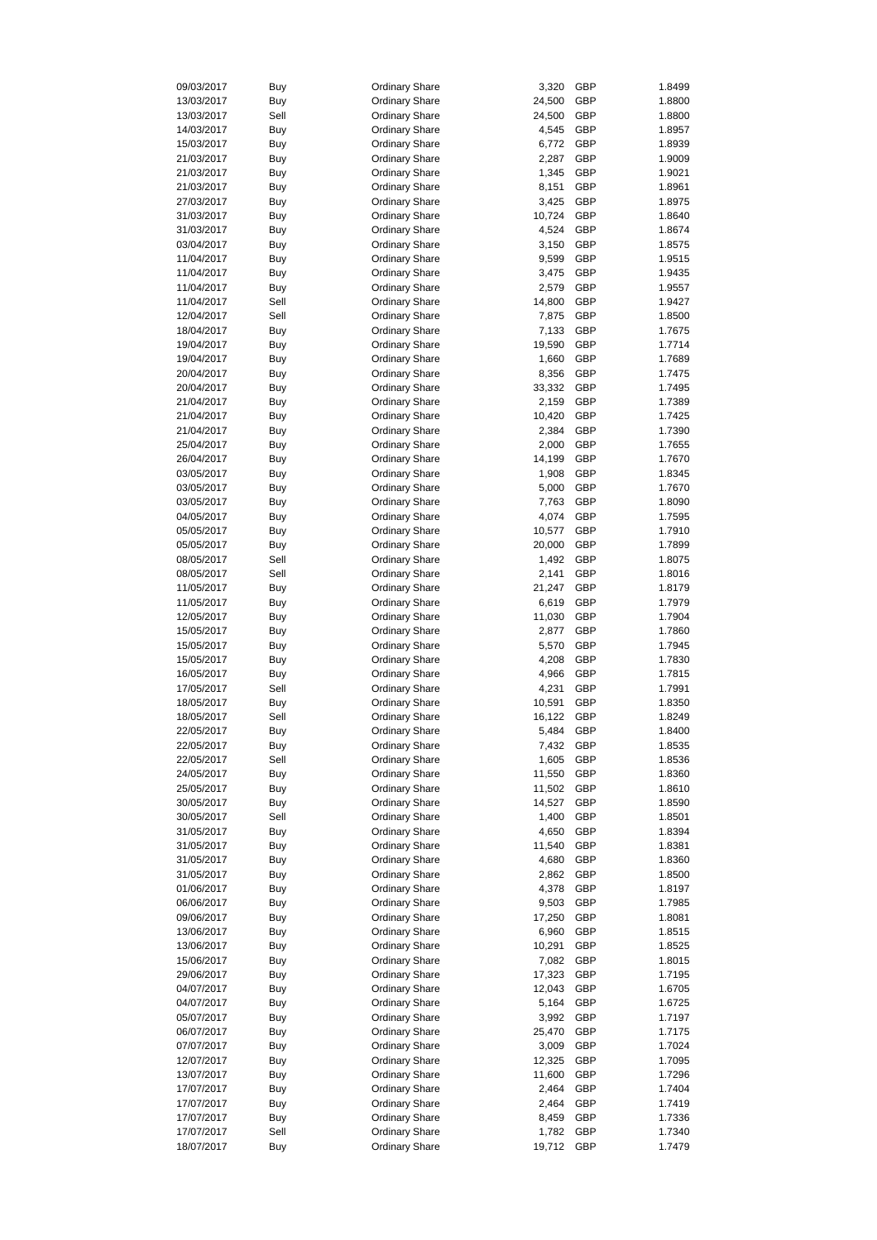| 09/03/2017 | <b>Buy</b> | <b>Ordinary Share</b> | 3,320  | <b>GBP</b> | 1.8499 |
|------------|------------|-----------------------|--------|------------|--------|
| 13/03/2017 | <b>Buy</b> | <b>Ordinary Share</b> | 24,500 | <b>GBP</b> | 1.8800 |
| 13/03/2017 | Sell       | <b>Ordinary Share</b> | 24,500 | <b>GBP</b> | 1.8800 |
| 14/03/2017 | Buy        | <b>Ordinary Share</b> | 4,545  | <b>GBP</b> | 1.8957 |
| 15/03/2017 | Buy        | <b>Ordinary Share</b> | 6,772  | <b>GBP</b> | 1.8939 |
|            |            |                       |        |            |        |
| 21/03/2017 | <b>Buy</b> | <b>Ordinary Share</b> | 2,287  | <b>GBP</b> | 1.9009 |
| 21/03/2017 | <b>Buy</b> | <b>Ordinary Share</b> | 1,345  | <b>GBP</b> | 1.9021 |
| 21/03/2017 | <b>Buy</b> | <b>Ordinary Share</b> | 8,151  | <b>GBP</b> | 1.8961 |
| 27/03/2017 | <b>Buy</b> | <b>Ordinary Share</b> | 3,425  | <b>GBP</b> | 1.8975 |
| 31/03/2017 | Buy        | <b>Ordinary Share</b> | 10,724 | <b>GBP</b> | 1.8640 |
|            |            |                       |        |            |        |
| 31/03/2017 | <b>Buy</b> | <b>Ordinary Share</b> | 4,524  | <b>GBP</b> | 1.8674 |
| 03/04/2017 | <b>Buy</b> | <b>Ordinary Share</b> | 3,150  | <b>GBP</b> | 1.8575 |
| 11/04/2017 | Buy        | <b>Ordinary Share</b> | 9,599  | <b>GBP</b> | 1.9515 |
| 11/04/2017 | <b>Buy</b> | <b>Ordinary Share</b> | 3,475  | <b>GBP</b> | 1.9435 |
| 11/04/2017 | <b>Buy</b> | <b>Ordinary Share</b> | 2,579  | <b>GBP</b> | 1.9557 |
| 11/04/2017 | Sell       | <b>Ordinary Share</b> | 14,800 | <b>GBP</b> | 1.9427 |
|            |            |                       |        |            |        |
| 12/04/2017 | Sell       | <b>Ordinary Share</b> | 7,875  | <b>GBP</b> | 1.8500 |
| 18/04/2017 | Buy        | <b>Ordinary Share</b> | 7,133  | <b>GBP</b> | 1.7675 |
| 19/04/2017 | <b>Buy</b> | <b>Ordinary Share</b> | 19,590 | <b>GBP</b> | 1.7714 |
| 19/04/2017 | Buy        | <b>Ordinary Share</b> | 1,660  | <b>GBP</b> | 1.7689 |
| 20/04/2017 | <b>Buy</b> | <b>Ordinary Share</b> | 8,356  | <b>GBP</b> | 1.7475 |
| 20/04/2017 | <b>Buy</b> | <b>Ordinary Share</b> | 33,332 | <b>GBP</b> | 1.7495 |
|            |            |                       |        |            |        |
| 21/04/2017 | Buy        | <b>Ordinary Share</b> | 2,159  | <b>GBP</b> | 1.7389 |
| 21/04/2017 | <b>Buy</b> | <b>Ordinary Share</b> | 10,420 | <b>GBP</b> | 1.7425 |
| 21/04/2017 | <b>Buy</b> | <b>Ordinary Share</b> | 2,384  | <b>GBP</b> | 1.7390 |
| 25/04/2017 | Buy        | <b>Ordinary Share</b> | 2,000  | <b>GBP</b> | 1.7655 |
| 26/04/2017 | <b>Buy</b> | <b>Ordinary Share</b> | 14,199 | <b>GBP</b> | 1.7670 |
|            |            |                       |        |            |        |
| 03/05/2017 | <b>Buy</b> | <b>Ordinary Share</b> | 1,908  | <b>GBP</b> | 1.8345 |
| 03/05/2017 | Buy        | <b>Ordinary Share</b> | 5,000  | <b>GBP</b> | 1.7670 |
| 03/05/2017 | <b>Buy</b> | <b>Ordinary Share</b> | 7,763  | <b>GBP</b> | 1.8090 |
| 04/05/2017 | Buy        | <b>Ordinary Share</b> | 4,074  | <b>GBP</b> | 1.7595 |
| 05/05/2017 | <b>Buy</b> | <b>Ordinary Share</b> | 10,577 | <b>GBP</b> | 1.7910 |
|            |            |                       |        |            |        |
| 05/05/2017 | <b>Buy</b> | <b>Ordinary Share</b> | 20,000 | <b>GBP</b> | 1.7899 |
| 08/05/2017 | Sell       | <b>Ordinary Share</b> | 1,492  | <b>GBP</b> | 1.8075 |
| 08/05/2017 | Sell       | <b>Ordinary Share</b> | 2,141  | <b>GBP</b> | 1.8016 |
| 11/05/2017 | <b>Buy</b> | <b>Ordinary Share</b> | 21,247 | <b>GBP</b> | 1.8179 |
| 11/05/2017 | <b>Buy</b> | <b>Ordinary Share</b> | 6,619  | <b>GBP</b> | 1.7979 |
| 12/05/2017 | <b>Buy</b> | <b>Ordinary Share</b> | 11,030 | <b>GBP</b> | 1.7904 |
|            |            |                       |        |            |        |
| 15/05/2017 | <b>Buy</b> | <b>Ordinary Share</b> | 2,877  | <b>GBP</b> | 1.7860 |
| 15/05/2017 | <b>Buy</b> | <b>Ordinary Share</b> | 5,570  | <b>GBP</b> | 1.7945 |
| 15/05/2017 | <b>Buy</b> | <b>Ordinary Share</b> | 4,208  | <b>GBP</b> | 1.7830 |
| 16/05/2017 | <b>Buy</b> | <b>Ordinary Share</b> | 4,966  | <b>GBP</b> | 1.7815 |
| 17/05/2017 | Sell       | <b>Ordinary Share</b> | 4,231  | <b>GBP</b> | 1.7991 |
| 18/05/2017 |            | <b>Ordinary Share</b> | 10,591 | <b>GBP</b> | 1.8350 |
|            | Buy        |                       |        |            |        |
| 18/05/2017 | Sell       | <b>Ordinary Share</b> | 16,122 | <b>GBP</b> | 1.8249 |
| 22/05/2017 | <b>Buy</b> | <b>Ordinary Share</b> | 5,484  | <b>GBP</b> | 1.8400 |
| 22/05/2017 | <b>Buy</b> | <b>Ordinary Share</b> | 7,432  | <b>GBP</b> | 1.8535 |
| 22/05/2017 | Sell       | <b>Ordinary Share</b> | 1,605  | <b>GBP</b> | 1.8536 |
| 24/05/2017 | Buy        | <b>Ordinary Share</b> | 11,550 | <b>GBP</b> | 1.8360 |
|            |            |                       |        |            |        |
| 25/05/2017 | <b>Buy</b> | <b>Ordinary Share</b> | 11,502 | <b>GBP</b> | 1.8610 |
| 30/05/2017 | <b>Buy</b> | <b>Ordinary Share</b> | 14,527 | <b>GBP</b> | 1.8590 |
| 30/05/2017 | Sell       | <b>Ordinary Share</b> | 1,400  | <b>GBP</b> | 1.8501 |
| 31/05/2017 | Buy        | <b>Ordinary Share</b> | 4,650  | <b>GBP</b> | 1.8394 |
| 31/05/2017 | <b>Buy</b> | <b>Ordinary Share</b> | 11,540 | <b>GBP</b> | 1.8381 |
| 31/05/2017 | <b>Buy</b> | <b>Ordinary Share</b> | 4,680  | <b>GBP</b> | 1.8360 |
| 31/05/2017 | <b>Buy</b> | <b>Ordinary Share</b> | 2,862  | <b>GBP</b> | 1.8500 |
|            |            |                       |        |            |        |
| 01/06/2017 | Buy        | <b>Ordinary Share</b> | 4,378  | <b>GBP</b> | 1.8197 |
| 06/06/2017 | Buy        | <b>Ordinary Share</b> | 9,503  | <b>GBP</b> | 1.7985 |
| 09/06/2017 | <b>Buy</b> | <b>Ordinary Share</b> | 17,250 | <b>GBP</b> | 1.8081 |
| 13/06/2017 | <b>Buy</b> | <b>Ordinary Share</b> | 6,960  | <b>GBP</b> | 1.8515 |
| 13/06/2017 | <b>Buy</b> | <b>Ordinary Share</b> | 10,291 | <b>GBP</b> | 1.8525 |
| 15/06/2017 |            | <b>Ordinary Share</b> | 7,082  | <b>GBP</b> | 1.8015 |
|            | <b>Buy</b> |                       |        |            |        |
| 29/06/2017 | <b>Buy</b> | <b>Ordinary Share</b> | 17,323 | <b>GBP</b> | 1.7195 |
| 04/07/2017 | Buy        | <b>Ordinary Share</b> | 12,043 | <b>GBP</b> | 1.6705 |
| 04/07/2017 | <b>Buy</b> | <b>Ordinary Share</b> | 5,164  | <b>GBP</b> | 1.6725 |
| 05/07/2017 | <b>Buy</b> | <b>Ordinary Share</b> | 3,992  | <b>GBP</b> | 1.7197 |
| 06/07/2017 | <b>Buy</b> | <b>Ordinary Share</b> | 25,470 | <b>GBP</b> | 1.7175 |
| 07/07/2017 | <b>Buy</b> | <b>Ordinary Share</b> | 3,009  | <b>GBP</b> | 1.7024 |
|            |            |                       |        |            |        |
| 12/07/2017 | <b>Buy</b> | <b>Ordinary Share</b> | 12,325 | <b>GBP</b> | 1.7095 |
| 13/07/2017 | <b>Buy</b> | <b>Ordinary Share</b> | 11,600 | <b>GBP</b> | 1.7296 |
| 17/07/2017 | <b>Buy</b> | <b>Ordinary Share</b> | 2,464  | <b>GBP</b> | 1.7404 |
| 17/07/2017 | <b>Buy</b> | <b>Ordinary Share</b> | 2,464  | <b>GBP</b> | 1.7419 |
| 17/07/2017 | <b>Buy</b> | <b>Ordinary Share</b> | 8,459  | <b>GBP</b> | 1.7336 |
| 17/07/2017 | Sell       | <b>Ordinary Share</b> |        | <b>GBP</b> |        |
|            |            |                       | 1,782  |            | 1.7340 |
| 18/07/2017 | <b>Buy</b> | <b>Ordinary Share</b> | 19,712 | <b>GBP</b> | 1.7479 |